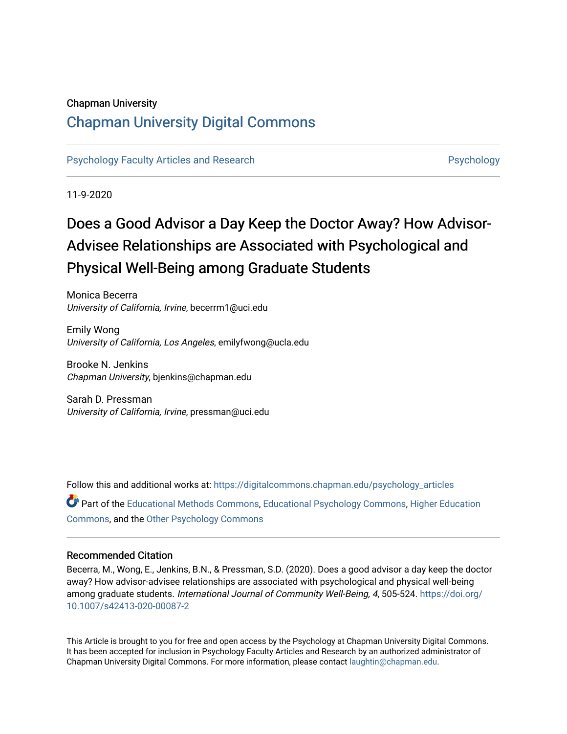# Chapman University

# [Chapman University Digital Commons](https://digitalcommons.chapman.edu/)

[Psychology Faculty Articles and Research](https://digitalcommons.chapman.edu/psychology_articles) **Provident Contact Contact Articles and Research** Psychology

11-9-2020

# Does a Good Advisor a Day Keep the Doctor Away? How Advisor-Advisee Relationships are Associated with Psychological and Physical Well-Being among Graduate Students

Monica Becerra University of California, Irvine, becerrm1@uci.edu

Emily Wong University of California, Los Angeles, emilyfwong@ucla.edu

Brooke N. Jenkins Chapman University, bjenkins@chapman.edu

Sarah D. Pressman University of California, Irvine, pressman@uci.edu

Follow this and additional works at: [https://digitalcommons.chapman.edu/psychology\\_articles](https://digitalcommons.chapman.edu/psychology_articles?utm_source=digitalcommons.chapman.edu%2Fpsychology_articles%2F233&utm_medium=PDF&utm_campaign=PDFCoverPages)

Part of the [Educational Methods Commons,](http://network.bepress.com/hgg/discipline/1227?utm_source=digitalcommons.chapman.edu%2Fpsychology_articles%2F233&utm_medium=PDF&utm_campaign=PDFCoverPages) [Educational Psychology Commons,](http://network.bepress.com/hgg/discipline/798?utm_source=digitalcommons.chapman.edu%2Fpsychology_articles%2F233&utm_medium=PDF&utm_campaign=PDFCoverPages) [Higher Education](http://network.bepress.com/hgg/discipline/1245?utm_source=digitalcommons.chapman.edu%2Fpsychology_articles%2F233&utm_medium=PDF&utm_campaign=PDFCoverPages) [Commons](http://network.bepress.com/hgg/discipline/1245?utm_source=digitalcommons.chapman.edu%2Fpsychology_articles%2F233&utm_medium=PDF&utm_campaign=PDFCoverPages), and the [Other Psychology Commons](http://network.bepress.com/hgg/discipline/415?utm_source=digitalcommons.chapman.edu%2Fpsychology_articles%2F233&utm_medium=PDF&utm_campaign=PDFCoverPages) 

# Recommended Citation

Becerra, M., Wong, E., Jenkins, B.N., & Pressman, S.D. (2020). Does a good advisor a day keep the doctor away? How advisor-advisee relationships are associated with psychological and physical well-being among graduate students. International Journal of Community Well-Being, 4, 505-524. [https://doi.org/](https://doi.org/10.1007/s42413-020-00087-2) [10.1007/s42413-020-00087-2](https://doi.org/10.1007/s42413-020-00087-2)

This Article is brought to you for free and open access by the Psychology at Chapman University Digital Commons. It has been accepted for inclusion in Psychology Faculty Articles and Research by an authorized administrator of Chapman University Digital Commons. For more information, please contact [laughtin@chapman.edu](mailto:laughtin@chapman.edu).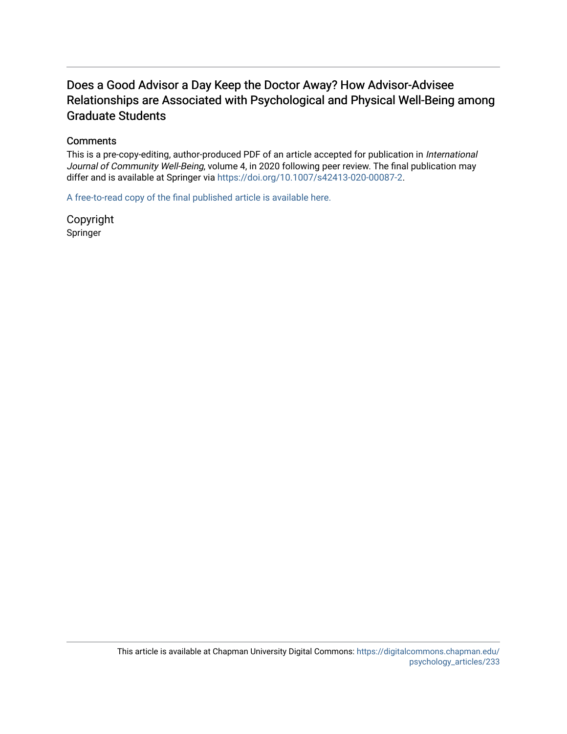# Does a Good Advisor a Day Keep the Doctor Away? How Advisor-Advisee Relationships are Associated with Psychological and Physical Well-Being among Graduate Students

# **Comments**

This is a pre-copy-editing, author-produced PDF of an article accepted for publication in International Journal of Community Well-Being, volume 4, in 2020 following peer review. The final publication may differ and is available at Springer via [https://doi.org/10.1007/s42413-020-00087-2.](https://doi.org/10.1007/s42413-020-00087-2)

[A free-to-read copy of the final published article is available here.](https://rdcu.be/ccbYm) 

Copyright Springer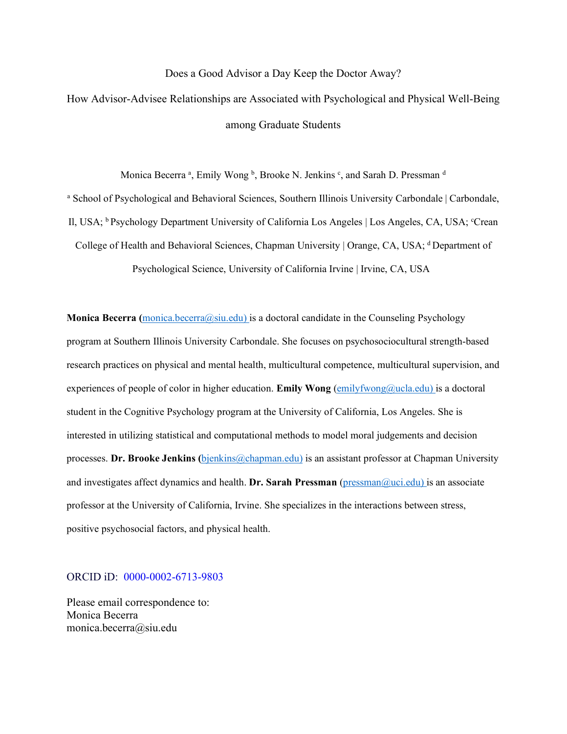# Does a Good Advisor a Day Keep the Doctor Away?

How Advisor-Advisee Relationships are Associated with Psychological and Physical Well-Being among Graduate Students

Monica Becerra <sup>a</sup>, Emily Wong <sup>b</sup>, Brooke N. Jenkins <sup>c</sup>, and Sarah D. Pressman <sup>d</sup>

<sup>a</sup> School of Psychological and Behavioral Sciences, Southern Illinois University Carbondale | Carbondale, Il, USA; <sup>b</sup> Psychology Department University of California Los Angeles | Los Angeles, CA, USA; <sup>c</sup>Crean College of Health and Behavioral Sciences, Chapman University | Orange, CA, USA; <sup>d</sup> Department of

Psychological Science, University of California Irvine | Irvine, CA, USA

**Monica Becerra (**[monica.becerra@siu.edu\)](mailto:monica.becerra@siu.edu) is a doctoral candidate in the Counseling Psychology program at Southern Illinois University Carbondale. She focuses on psychosociocultural strength-based research practices on physical and mental health, multicultural competence, multicultural supervision, and experiences of people of color in higher education. **Emily Wong** [\(emilyfwong@ucla.edu\)](mailto:emilyfwong@ucla.edu) is a doctoral student in the Cognitive Psychology program at the University of California, Los Angeles. She is interested in utilizing statistical and computational methods to model moral judgements and decision processes. Dr. Brooke Jenkins (bjenkins @chapman.edu) is an assistant professor at Chapman University and investigates affect dynamics and health. **Dr. Sarah Pressman** [\(pressman@uci.edu\)](mailto:pressman@uci.edu) is an associate professor at the University of California, Irvine. She specializes in the interactions between stress, positive psychosocial factors, and physical health.

# ORCID iD: 0000-0002-6713-9803

Please email correspondence to: Monica Becerra monica.becerra@siu.edu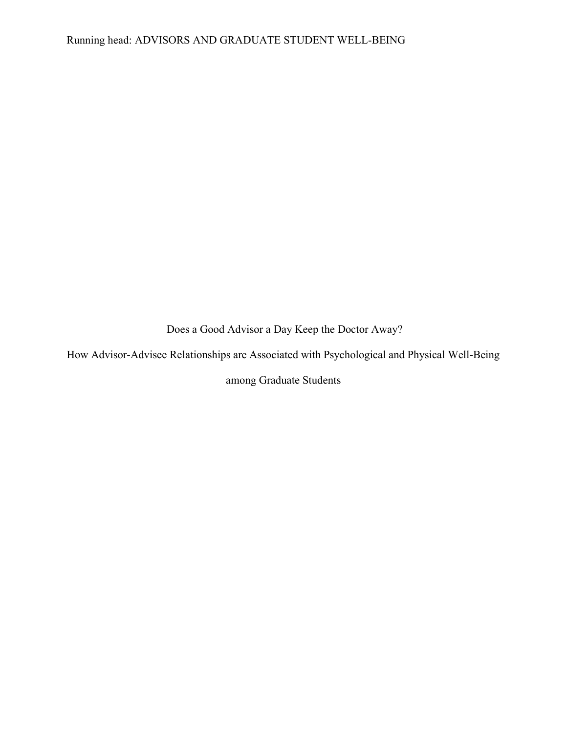Does a Good Advisor a Day Keep the Doctor Away?

How Advisor-Advisee Relationships are Associated with Psychological and Physical Well-Being

among Graduate Students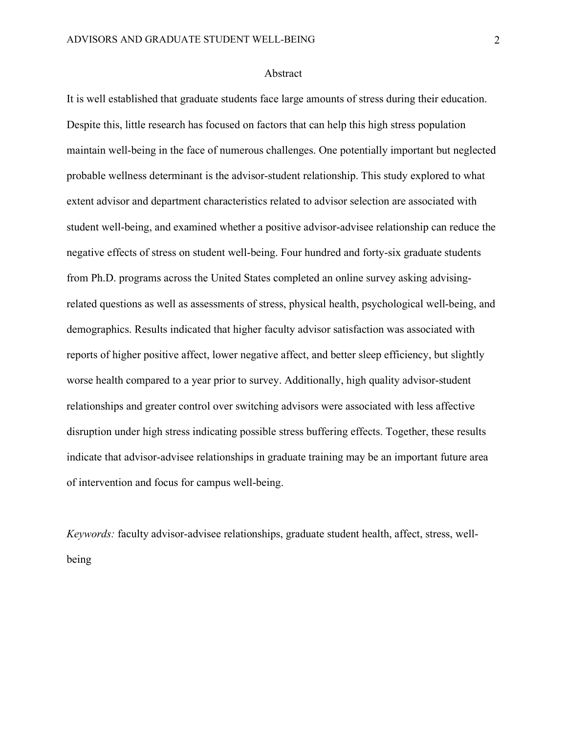# Abstract

It is well established that graduate students face large amounts of stress during their education. Despite this, little research has focused on factors that can help this high stress population maintain well-being in the face of numerous challenges. One potentially important but neglected probable wellness determinant is the advisor-student relationship. This study explored to what extent advisor and department characteristics related to advisor selection are associated with student well-being, and examined whether a positive advisor-advisee relationship can reduce the negative effects of stress on student well-being. Four hundred and forty-six graduate students from Ph.D. programs across the United States completed an online survey asking advisingrelated questions as well as assessments of stress, physical health, psychological well-being, and demographics. Results indicated that higher faculty advisor satisfaction was associated with reports of higher positive affect, lower negative affect, and better sleep efficiency, but slightly worse health compared to a year prior to survey. Additionally, high quality advisor-student relationships and greater control over switching advisors were associated with less affective disruption under high stress indicating possible stress buffering effects. Together, these results indicate that advisor-advisee relationships in graduate training may be an important future area of intervention and focus for campus well-being.

*Keywords:* faculty advisor-advisee relationships, graduate student health, affect, stress, wellbeing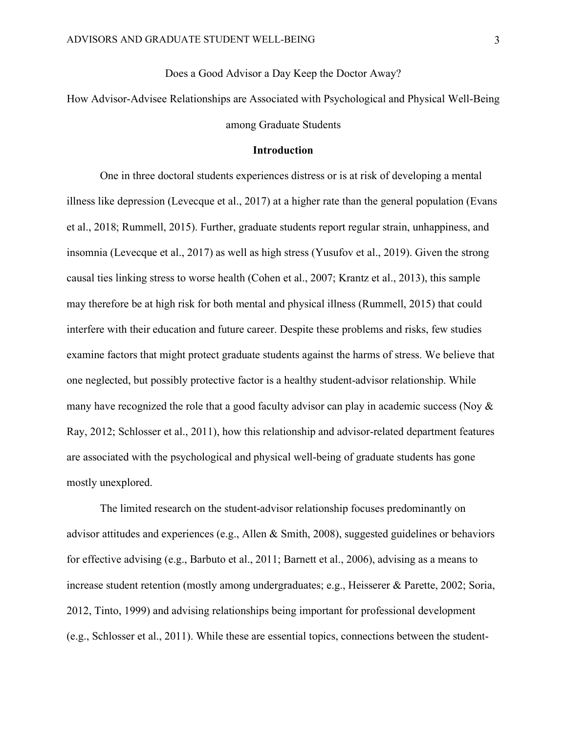Does a Good Advisor a Day Keep the Doctor Away?

How Advisor-Advisee Relationships are Associated with Psychological and Physical Well-Being among Graduate Students

# **Introduction**

One in three doctoral students experiences distress or is at risk of developing a mental illness like depression (Levecque et al., 2017) at a higher rate than the general population (Evans et al., 2018; Rummell, 2015). Further, graduate students report regular strain, unhappiness, and insomnia (Levecque et al., 2017) as well as high stress (Yusufov et al., 2019). Given the strong causal ties linking stress to worse health (Cohen et al., 2007; Krantz et al., 2013), this sample may therefore be at high risk for both mental and physical illness (Rummell, 2015) that could interfere with their education and future career. Despite these problems and risks, few studies examine factors that might protect graduate students against the harms of stress. We believe that one neglected, but possibly protective factor is a healthy student-advisor relationship. While many have recognized the role that a good faculty advisor can play in academic success (Noy & Ray, 2012; Schlosser et al., 2011), how this relationship and advisor-related department features are associated with the psychological and physical well-being of graduate students has gone mostly unexplored.

The limited research on the student-advisor relationship focuses predominantly on advisor attitudes and experiences (e.g., Allen & Smith, 2008), suggested guidelines or behaviors for effective advising (e.g., Barbuto et al., 2011; Barnett et al., 2006), advising as a means to increase student retention (mostly among undergraduates; e.g., Heisserer & Parette, 2002; Soria, 2012, Tinto, 1999) and advising relationships being important for professional development (e.g., Schlosser et al., 2011). While these are essential topics, connections between the student-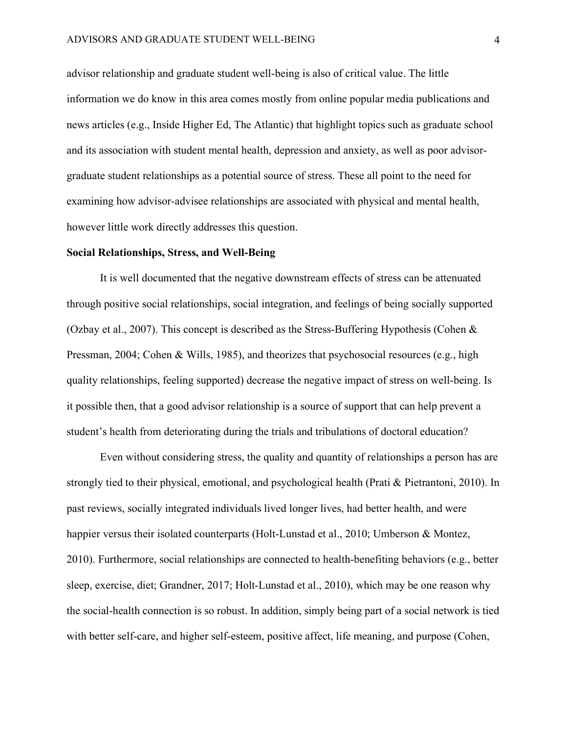advisor relationship and graduate student well-being is also of critical value. The little information we do know in this area comes mostly from online popular media publications and news articles (e.g., Inside Higher Ed, The Atlantic) that highlight topics such as graduate school and its association with student mental health, depression and anxiety, as well as poor advisorgraduate student relationships as a potential source of stress. These all point to the need for examining how advisor-advisee relationships are associated with physical and mental health, however little work directly addresses this question.

# **Social Relationships, Stress, and Well-Being**

It is well documented that the negative downstream effects of stress can be attenuated through positive social relationships, social integration, and feelings of being socially supported (Ozbay et al., 2007). This concept is described as the Stress-Buffering Hypothesis (Cohen & Pressman, 2004; Cohen & Wills, 1985), and theorizes that psychosocial resources (e.g., high quality relationships, feeling supported) decrease the negative impact of stress on well-being. Is it possible then, that a good advisor relationship is a source of support that can help prevent a student's health from deteriorating during the trials and tribulations of doctoral education?

Even without considering stress, the quality and quantity of relationships a person has are strongly tied to their physical, emotional, and psychological health (Prati & Pietrantoni, 2010). In past reviews, socially integrated individuals lived longer lives, had better health, and were happier versus their isolated counterparts (Holt-Lunstad et al., 2010; Umberson & Montez, 2010). Furthermore, social relationships are connected to health-benefiting behaviors (e.g., better sleep, exercise, diet; Grandner, 2017; Holt-Lunstad et al., 2010), which may be one reason why the social-health connection is so robust. In addition, simply being part of a social network is tied with better self-care, and higher self-esteem, positive affect, life meaning, and purpose (Cohen,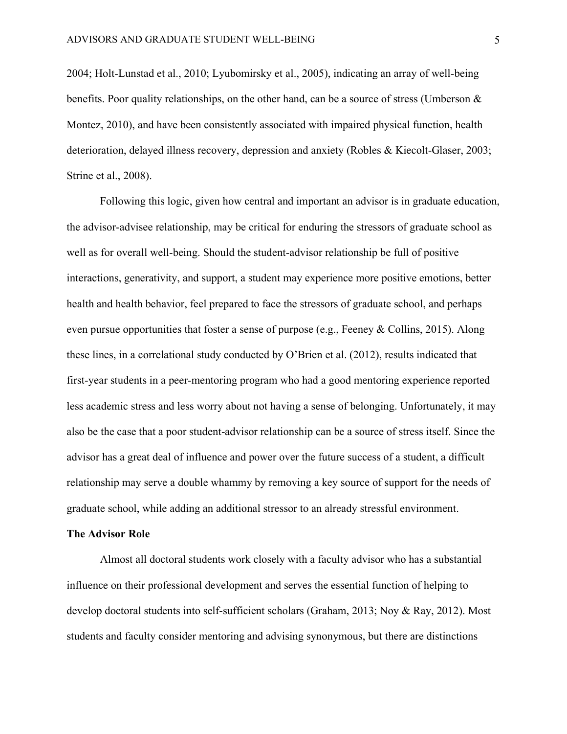2004; Holt-Lunstad et al., 2010; Lyubomirsky et al., 2005), indicating an array of well-being benefits. Poor quality relationships, on the other hand, can be a source of stress (Umberson  $\&$ Montez, 2010), and have been consistently associated with impaired physical function, health deterioration, delayed illness recovery, depression and anxiety (Robles & Kiecolt-Glaser, 2003; Strine et al., 2008).

Following this logic, given how central and important an advisor is in graduate education, the advisor-advisee relationship, may be critical for enduring the stressors of graduate school as well as for overall well-being. Should the student-advisor relationship be full of positive interactions, generativity, and support, a student may experience more positive emotions, better health and health behavior, feel prepared to face the stressors of graduate school, and perhaps even pursue opportunities that foster a sense of purpose (e.g., Feeney & Collins, 2015). Along these lines, in a correlational study conducted by O'Brien et al. (2012), results indicated that first-year students in a peer-mentoring program who had a good mentoring experience reported less academic stress and less worry about not having a sense of belonging. Unfortunately, it may also be the case that a poor student-advisor relationship can be a source of stress itself. Since the advisor has a great deal of influence and power over the future success of a student, a difficult relationship may serve a double whammy by removing a key source of support for the needs of graduate school, while adding an additional stressor to an already stressful environment.

#### **The Advisor Role**

Almost all doctoral students work closely with a faculty advisor who has a substantial influence on their professional development and serves the essential function of helping to develop doctoral students into self-sufficient scholars (Graham, 2013; Noy & Ray, 2012). Most students and faculty consider mentoring and advising synonymous, but there are distinctions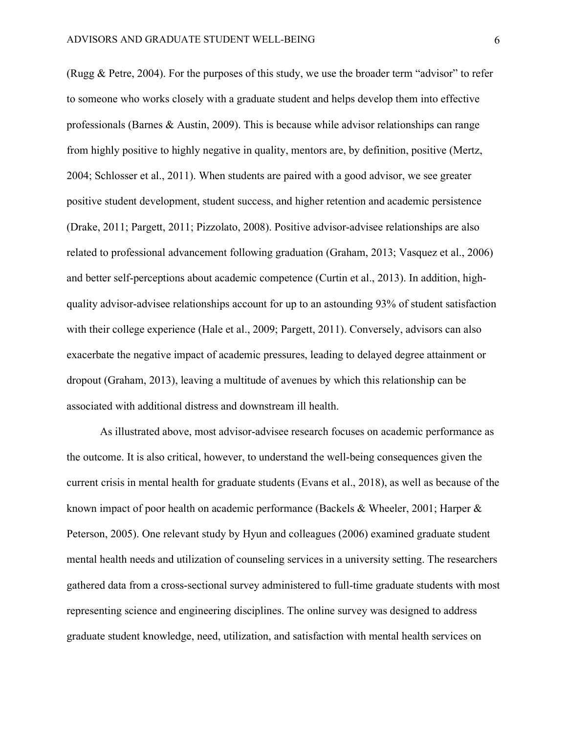(Rugg & Petre, 2004). For the purposes of this study, we use the broader term "advisor" to refer to someone who works closely with a graduate student and helps develop them into effective professionals (Barnes & Austin, 2009). This is because while advisor relationships can range from highly positive to highly negative in quality, mentors are, by definition, positive (Mertz, 2004; Schlosser et al., 2011). When students are paired with a good advisor, we see greater positive student development, student success, and higher retention and academic persistence (Drake, 2011; Pargett, 2011; Pizzolato, 2008). Positive advisor-advisee relationships are also related to professional advancement following graduation (Graham, 2013; Vasquez et al., 2006) and better self-perceptions about academic competence (Curtin et al., 2013). In addition, highquality advisor-advisee relationships account for up to an astounding 93% of student satisfaction with their college experience (Hale et al., 2009; Pargett, 2011). Conversely, advisors can also exacerbate the negative impact of academic pressures, leading to delayed degree attainment or dropout (Graham, 2013), leaving a multitude of avenues by which this relationship can be associated with additional distress and downstream ill health.

As illustrated above, most advisor-advisee research focuses on academic performance as the outcome. It is also critical, however, to understand the well-being consequences given the current crisis in mental health for graduate students (Evans et al., 2018), as well as because of the known impact of poor health on academic performance (Backels & Wheeler, 2001; Harper & Peterson, 2005). One relevant study by Hyun and colleagues (2006) examined graduate student mental health needs and utilization of counseling services in a university setting. The researchers gathered data from a cross-sectional survey administered to full-time graduate students with most representing science and engineering disciplines. The online survey was designed to address graduate student knowledge, need, utilization, and satisfaction with mental health services on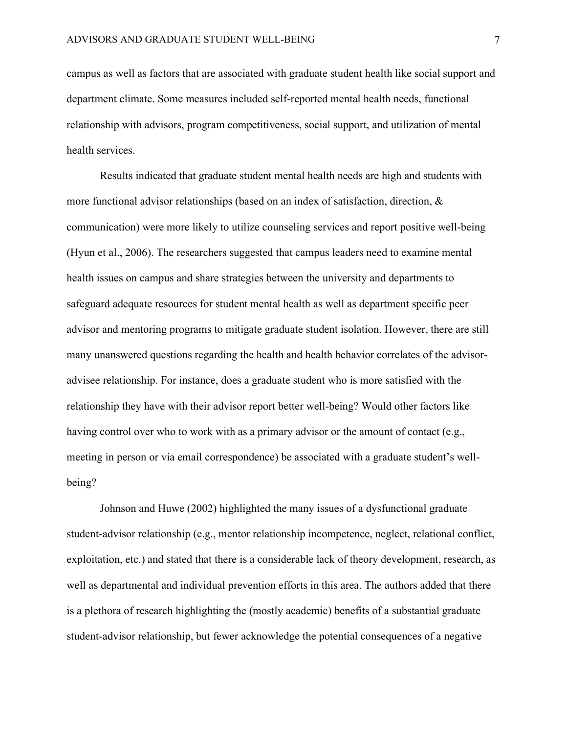campus as well as factors that are associated with graduate student health like social support and department climate. Some measures included self-reported mental health needs, functional relationship with advisors, program competitiveness, social support, and utilization of mental health services.

Results indicated that graduate student mental health needs are high and students with more functional advisor relationships (based on an index of satisfaction, direction, & communication) were more likely to utilize counseling services and report positive well-being (Hyun et al., 2006). The researchers suggested that campus leaders need to examine mental health issues on campus and share strategies between the university and departments to safeguard adequate resources for student mental health as well as department specific peer advisor and mentoring programs to mitigate graduate student isolation. However, there are still many unanswered questions regarding the health and health behavior correlates of the advisoradvisee relationship. For instance, does a graduate student who is more satisfied with the relationship they have with their advisor report better well-being? Would other factors like having control over who to work with as a primary advisor or the amount of contact (e.g., meeting in person or via email correspondence) be associated with a graduate student's wellbeing?

Johnson and Huwe (2002) highlighted the many issues of a dysfunctional graduate student-advisor relationship (e.g., mentor relationship incompetence, neglect, relational conflict, exploitation, etc.) and stated that there is a considerable lack of theory development, research, as well as departmental and individual prevention efforts in this area. The authors added that there is a plethora of research highlighting the (mostly academic) benefits of a substantial graduate student-advisor relationship, but fewer acknowledge the potential consequences of a negative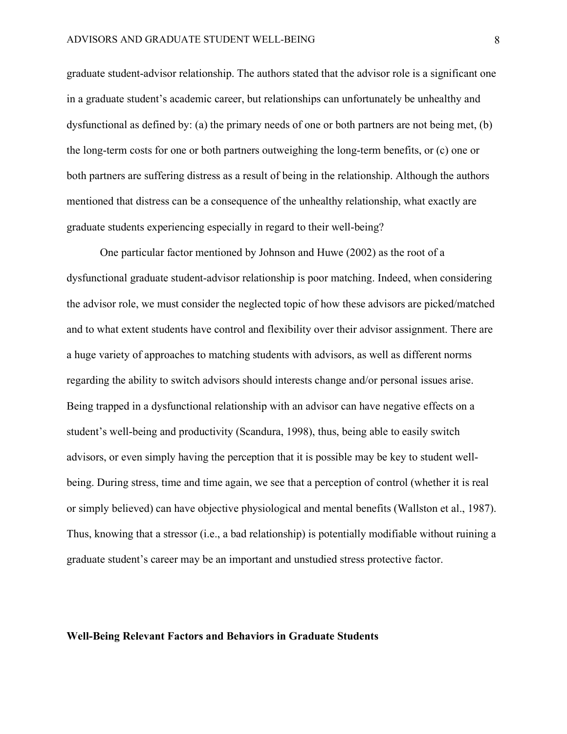graduate student-advisor relationship. The authors stated that the advisor role is a significant one in a graduate student's academic career, but relationships can unfortunately be unhealthy and dysfunctional as defined by: (a) the primary needs of one or both partners are not being met, (b) the long-term costs for one or both partners outweighing the long-term benefits, or (c) one or both partners are suffering distress as a result of being in the relationship. Although the authors mentioned that distress can be a consequence of the unhealthy relationship, what exactly are graduate students experiencing especially in regard to their well-being?

One particular factor mentioned by Johnson and Huwe (2002) as the root of a dysfunctional graduate student-advisor relationship is poor matching. Indeed, when considering the advisor role, we must consider the neglected topic of how these advisors are picked/matched and to what extent students have control and flexibility over their advisor assignment. There are a huge variety of approaches to matching students with advisors, as well as different norms regarding the ability to switch advisors should interests change and/or personal issues arise. Being trapped in a dysfunctional relationship with an advisor can have negative effects on a student's well-being and productivity (Scandura, 1998), thus, being able to easily switch advisors, or even simply having the perception that it is possible may be key to student wellbeing. During stress, time and time again, we see that a perception of control (whether it is real or simply believed) can have objective physiological and mental benefits (Wallston et al., 1987). Thus, knowing that a stressor (i.e., a bad relationship) is potentially modifiable without ruining a graduate student's career may be an important and unstudied stress protective factor.

#### **Well-Being Relevant Factors and Behaviors in Graduate Students**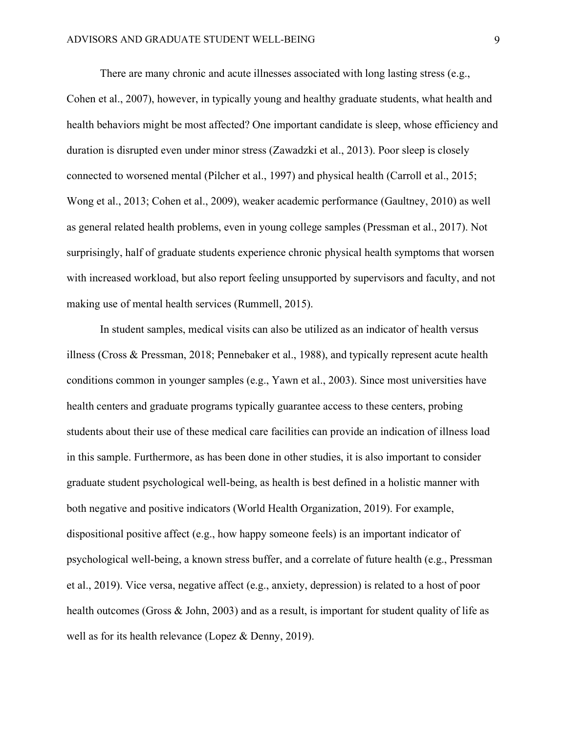There are many chronic and acute illnesses associated with long lasting stress (e.g., Cohen et al., 2007), however, in typically young and healthy graduate students, what health and health behaviors might be most affected? One important candidate is sleep, whose efficiency and duration is disrupted even under minor stress (Zawadzki et al., 2013). Poor sleep is closely connected to worsened mental (Pilcher et al., 1997) and physical health (Carroll et al., 2015; Wong et al., 2013; Cohen et al., 2009), weaker academic performance (Gaultney, 2010) as well as general related health problems, even in young college samples (Pressman et al., 2017). Not surprisingly, half of graduate students experience chronic physical health symptoms that worsen with increased workload, but also report feeling unsupported by supervisors and faculty, and not making use of mental health services (Rummell, 2015).

In student samples, medical visits can also be utilized as an indicator of health versus illness (Cross & Pressman, 2018; Pennebaker et al., 1988), and typically represent acute health conditions common in younger samples (e.g., Yawn et al., 2003). Since most universities have health centers and graduate programs typically guarantee access to these centers, probing students about their use of these medical care facilities can provide an indication of illness load in this sample. Furthermore, as has been done in other studies, it is also important to consider graduate student psychological well-being, as health is best defined in a holistic manner with both negative and positive indicators (World Health Organization, 2019). For example, dispositional positive affect (e.g., how happy someone feels) is an important indicator of psychological well-being, a known stress buffer, and a correlate of future health (e.g., Pressman et al., 2019). Vice versa, negative affect (e.g., anxiety, depression) is related to a host of poor health outcomes (Gross & John, 2003) and as a result, is important for student quality of life as well as for its health relevance (Lopez & Denny, 2019).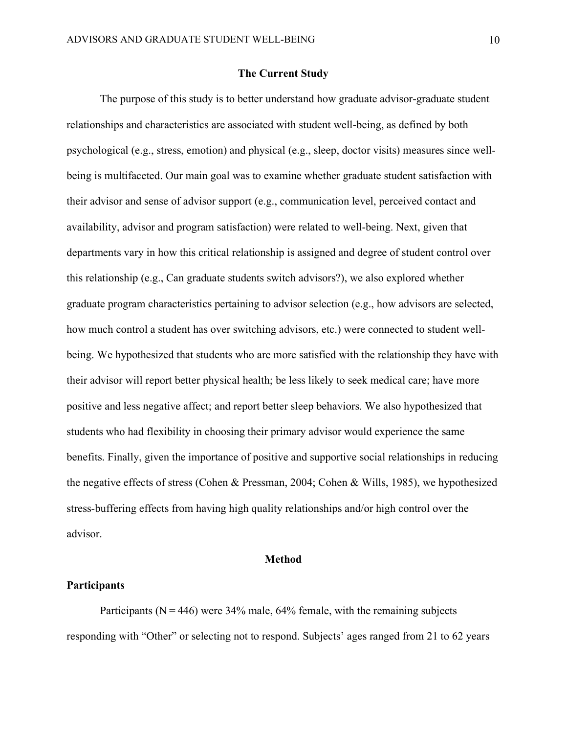# **The Current Study**

The purpose of this study is to better understand how graduate advisor-graduate student relationships and characteristics are associated with student well-being, as defined by both psychological (e.g., stress, emotion) and physical (e.g., sleep, doctor visits) measures since wellbeing is multifaceted. Our main goal was to examine whether graduate student satisfaction with their advisor and sense of advisor support (e.g., communication level, perceived contact and availability, advisor and program satisfaction) were related to well-being. Next, given that departments vary in how this critical relationship is assigned and degree of student control over this relationship (e.g., Can graduate students switch advisors?), we also explored whether graduate program characteristics pertaining to advisor selection (e.g., how advisors are selected, how much control a student has over switching advisors, etc.) were connected to student wellbeing. We hypothesized that students who are more satisfied with the relationship they have with their advisor will report better physical health; be less likely to seek medical care; have more positive and less negative affect; and report better sleep behaviors. We also hypothesized that students who had flexibility in choosing their primary advisor would experience the same benefits. Finally, given the importance of positive and supportive social relationships in reducing the negative effects of stress (Cohen & Pressman, 2004; Cohen & Wills, 1985), we hypothesized stress-buffering effects from having high quality relationships and/or high control over the advisor.

# **Method**

#### **Participants**

Participants ( $N = 446$ ) were 34% male, 64% female, with the remaining subjects responding with "Other" or selecting not to respond. Subjects' ages ranged from 21 to 62 years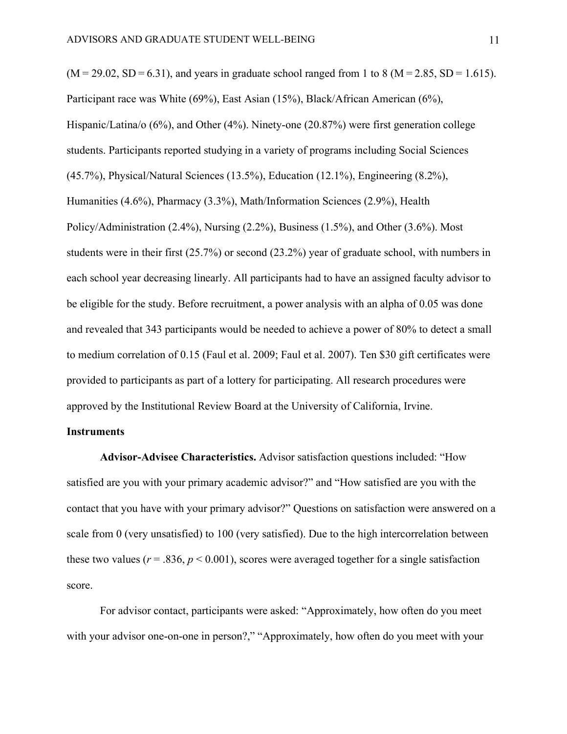$(M = 29.02, SD = 6.31)$ , and years in graduate school ranged from 1 to 8 (M = 2.85, SD = 1.615). Participant race was White (69%), East Asian (15%), Black/African American (6%), Hispanic/Latina/o (6%), and Other (4%). Ninety-one (20.87%) were first generation college students. Participants reported studying in a variety of programs including Social Sciences (45.7%), Physical/Natural Sciences (13.5%), Education (12.1%), Engineering (8.2%), Humanities (4.6%), Pharmacy (3.3%), Math/Information Sciences (2.9%), Health Policy/Administration (2.4%), Nursing (2.2%), Business (1.5%), and Other (3.6%). Most students were in their first (25.7%) or second (23.2%) year of graduate school, with numbers in each school year decreasing linearly. All participants had to have an assigned faculty advisor to be eligible for the study. Before recruitment, a power analysis with an alpha of 0.05 was done and revealed that 343 participants would be needed to achieve a power of 80% to detect a small to medium correlation of 0.15 (Faul et al. 2009; Faul et al. 2007). Ten \$30 gift certificates were provided to participants as part of a lottery for participating. All research procedures were approved by the Institutional Review Board at the University of California, Irvine.

# **Instruments**

**Advisor-Advisee Characteristics.** Advisor satisfaction questions included: "How satisfied are you with your primary academic advisor?" and "How satisfied are you with the contact that you have with your primary advisor?" Questions on satisfaction were answered on a scale from 0 (very unsatisfied) to 100 (very satisfied). Due to the high intercorrelation between these two values ( $r = .836$ ,  $p < 0.001$ ), scores were averaged together for a single satisfaction score.

For advisor contact, participants were asked: "Approximately, how often do you meet with your advisor one-on-one in person?," "Approximately, how often do you meet with your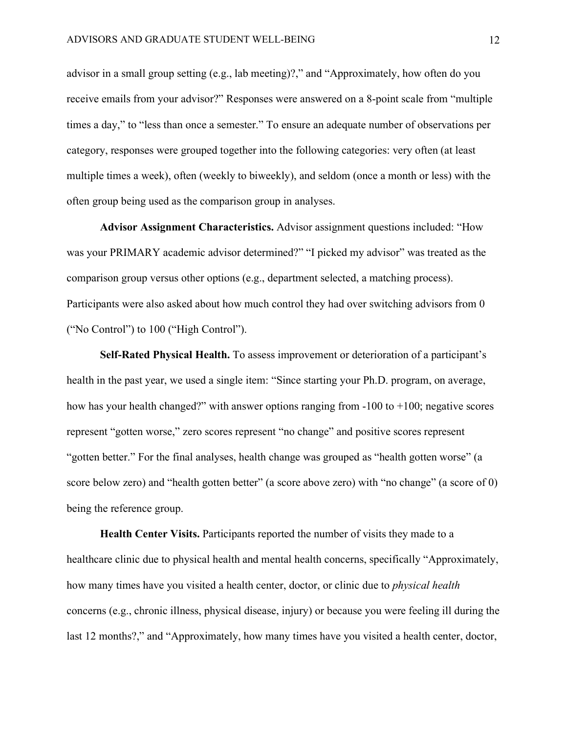advisor in a small group setting (e.g., lab meeting)?," and "Approximately, how often do you receive emails from your advisor?" Responses were answered on a 8-point scale from "multiple times a day," to "less than once a semester." To ensure an adequate number of observations per category, responses were grouped together into the following categories: very often (at least multiple times a week), often (weekly to biweekly), and seldom (once a month or less) with the often group being used as the comparison group in analyses.

**Advisor Assignment Characteristics.** Advisor assignment questions included: "How was your PRIMARY academic advisor determined?" "I picked my advisor" was treated as the comparison group versus other options (e.g., department selected, a matching process). Participants were also asked about how much control they had over switching advisors from 0 ("No Control") to 100 ("High Control").

**Self-Rated Physical Health.** To assess improvement or deterioration of a participant's health in the past year, we used a single item: "Since starting your Ph.D. program, on average, how has your health changed?" with answer options ranging from -100 to +100; negative scores represent "gotten worse," zero scores represent "no change" and positive scores represent "gotten better." For the final analyses, health change was grouped as "health gotten worse" (a score below zero) and "health gotten better" (a score above zero) with "no change" (a score of 0) being the reference group.

**Health Center Visits.** Participants reported the number of visits they made to a healthcare clinic due to physical health and mental health concerns, specifically "Approximately, how many times have you visited a health center, doctor, or clinic due to *physical health* concerns (e.g., chronic illness, physical disease, injury) or because you were feeling ill during the last 12 months?," and "Approximately, how many times have you visited a health center, doctor,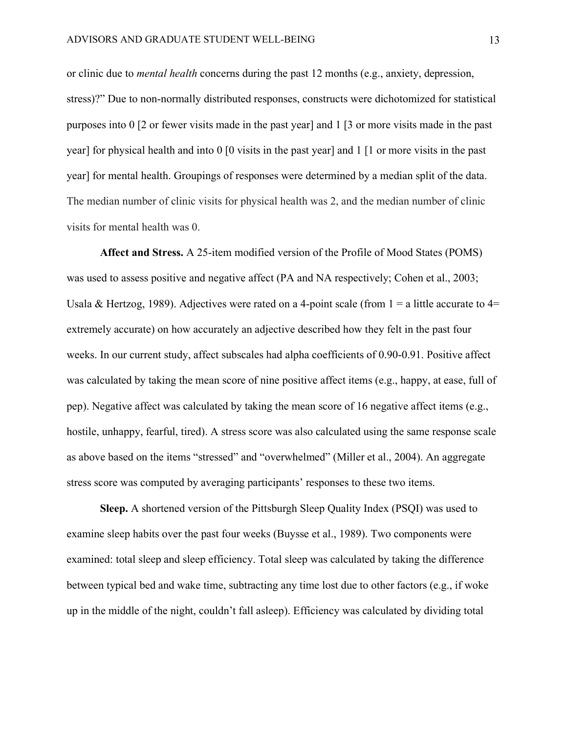or clinic due to *mental health* concerns during the past 12 months (e.g., anxiety, depression, stress)?" Due to non-normally distributed responses, constructs were dichotomized for statistical purposes into 0 [2 or fewer visits made in the past year] and 1 [3 or more visits made in the past year] for physical health and into 0 [0 visits in the past year] and 1 [1 or more visits in the past year] for mental health. Groupings of responses were determined by a median split of the data. The median number of clinic visits for physical health was 2, and the median number of clinic visits for mental health was 0.

**Affect and Stress.** A 25-item modified version of the Profile of Mood States (POMS) was used to assess positive and negative affect (PA and NA respectively; Cohen et al., 2003; Usala & Hertzog, 1989). Adjectives were rated on a 4-point scale (from  $1 = a$  little accurate to  $4=$ extremely accurate) on how accurately an adjective described how they felt in the past four weeks. In our current study, affect subscales had alpha coefficients of 0.90-0.91. Positive affect was calculated by taking the mean score of nine positive affect items (e.g., happy, at ease, full of pep). Negative affect was calculated by taking the mean score of 16 negative affect items (e.g., hostile, unhappy, fearful, tired). A stress score was also calculated using the same response scale as above based on the items "stressed" and "overwhelmed" (Miller et al., 2004). An aggregate stress score was computed by averaging participants' responses to these two items.

**Sleep.** A shortened version of the Pittsburgh Sleep Quality Index (PSQI) was used to examine sleep habits over the past four weeks (Buysse et al., 1989). Two components were examined: total sleep and sleep efficiency. Total sleep was calculated by taking the difference between typical bed and wake time, subtracting any time lost due to other factors (e.g., if woke up in the middle of the night, couldn't fall asleep). Efficiency was calculated by dividing total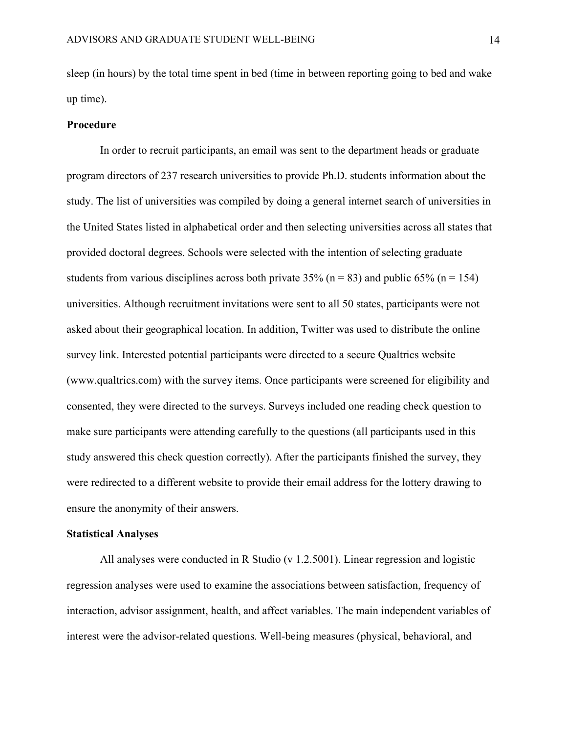sleep (in hours) by the total time spent in bed (time in between reporting going to bed and wake up time).

#### **Procedure**

In order to recruit participants, an email was sent to the department heads or graduate program directors of 237 research universities to provide Ph.D. students information about the study. The list of universities was compiled by doing a general internet search of universities in the United States listed in alphabetical order and then selecting universities across all states that provided doctoral degrees. Schools were selected with the intention of selecting graduate students from various disciplines across both private 35% ( $n = 83$ ) and public 65% ( $n = 154$ ) universities. Although recruitment invitations were sent to all 50 states, participants were not asked about their geographical location. In addition, Twitter was used to distribute the online survey link. Interested potential participants were directed to a secure Qualtrics website (www.qualtrics.com) with the survey items. Once participants were screened for eligibility and consented, they were directed to the surveys. Surveys included one reading check question to make sure participants were attending carefully to the questions (all participants used in this study answered this check question correctly). After the participants finished the survey, they were redirected to a different website to provide their email address for the lottery drawing to ensure the anonymity of their answers.

#### **Statistical Analyses**

All analyses were conducted in R Studio (v 1.2.5001). Linear regression and logistic regression analyses were used to examine the associations between satisfaction, frequency of interaction, advisor assignment, health, and affect variables. The main independent variables of interest were the advisor-related questions. Well-being measures (physical, behavioral, and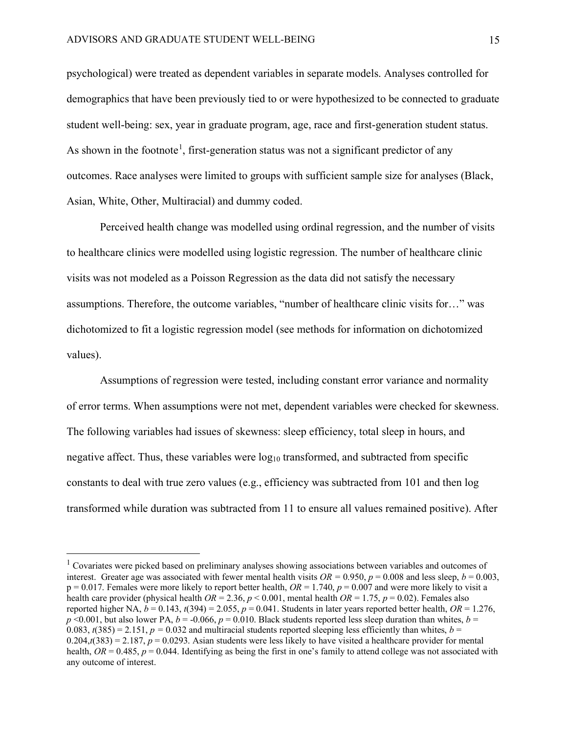psychological) were treated as dependent variables in separate models. Analyses controlled for demographics that have been previously tied to or were hypothesized to be connected to graduate student well-being: sex, year in graduate program, age, race and first-generation student status. As shown in the footnote<sup>[1](#page-17-0)</sup>, first-generation status was not a significant predictor of any outcomes. Race analyses were limited to groups with sufficient sample size for analyses (Black, Asian, White, Other, Multiracial) and dummy coded.

Perceived health change was modelled using ordinal regression, and the number of visits to healthcare clinics were modelled using logistic regression. The number of healthcare clinic visits was not modeled as a Poisson Regression as the data did not satisfy the necessary assumptions. Therefore, the outcome variables, "number of healthcare clinic visits for…" was dichotomized to fit a logistic regression model (see methods for information on dichotomized values).

Assumptions of regression were tested, including constant error variance and normality of error terms. When assumptions were not met, dependent variables were checked for skewness. The following variables had issues of skewness: sleep efficiency, total sleep in hours, and negative affect. Thus, these variables were  $log_{10}$  transformed, and subtracted from specific constants to deal with true zero values (e.g., efficiency was subtracted from 101 and then log transformed while duration was subtracted from 11 to ensure all values remained positive). After

<span id="page-17-0"></span><sup>&</sup>lt;sup>1</sup> Covariates were picked based on preliminary analyses showing associations between variables and outcomes of interest. Greater age was associated with fewer mental health visits  $OR = 0.950$ ,  $p = 0.008$  and less sleep,  $b = 0.003$ ,  $p = 0.017$ . Females were more likely to report better health,  $OR = 1.740$ ,  $p = 0.007$  and were more likely to visit a health care provider (physical health  $OR = 2.36$ ,  $p < 0.001$ , mental health  $OR = 1.75$ ,  $p = 0.02$ ). Females also reported higher NA,  $b = 0.143$ ,  $t(394) = 2.055$ ,  $p = 0.041$ . Students in later years reported better health,  $OR = 1.276$ ,  $p \le 0.001$ , but also lower PA,  $b = -0.066$ ,  $p = 0.010$ . Black students reported less sleep duration than whites,  $b =$  $(0.083, t(385) = 2.151, p = 0.032$  and multiracial students reported sleeping less efficiently than whites,  $b =$  $0.204_t$ (383) = 2.187,  $p = 0.0293$ . Asian students were less likely to have visited a healthcare provider for mental health,  $OR = 0.485$ ,  $p = 0.044$ . Identifying as being the first in one's family to attend college was not associated with any outcome of interest.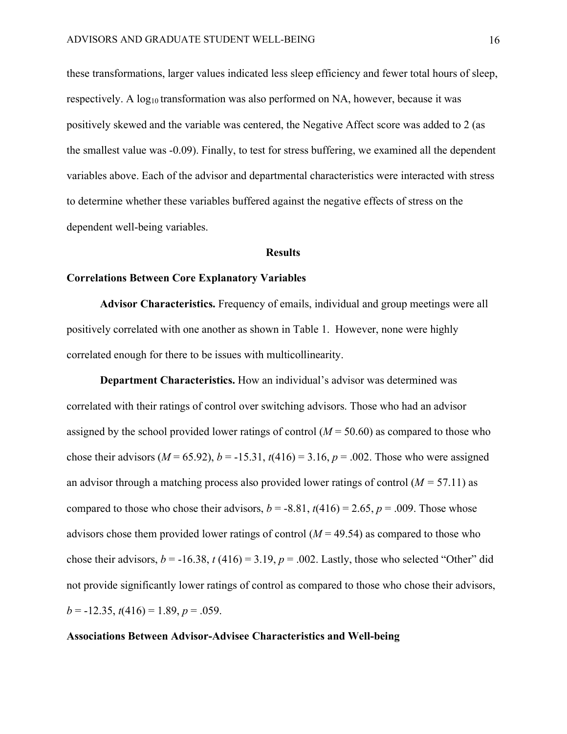these transformations, larger values indicated less sleep efficiency and fewer total hours of sleep, respectively. A log<sub>10</sub> transformation was also performed on NA, however, because it was positively skewed and the variable was centered, the Negative Affect score was added to 2 (as the smallest value was -0.09). Finally, to test for stress buffering, we examined all the dependent variables above. Each of the advisor and departmental characteristics were interacted with stress to determine whether these variables buffered against the negative effects of stress on the dependent well-being variables.

# **Results**

# **Correlations Between Core Explanatory Variables**

**Advisor Characteristics.** Frequency of emails, individual and group meetings were all positively correlated with one another as shown in Table 1. However, none were highly correlated enough for there to be issues with multicollinearity.

**Department Characteristics.** How an individual's advisor was determined was correlated with their ratings of control over switching advisors. Those who had an advisor assigned by the school provided lower ratings of control  $(M = 50.60)$  as compared to those who chose their advisors  $(M = 65.92)$ ,  $b = -15.31$ ,  $t(416) = 3.16$ ,  $p = .002$ . Those who were assigned an advisor through a matching process also provided lower ratings of control (*M =* 57.11) as compared to those who chose their advisors,  $b = -8.81$ ,  $t(416) = 2.65$ ,  $p = .009$ . Those whose advisors chose them provided lower ratings of control  $(M = 49.54)$  as compared to those who chose their advisors,  $b = -16.38$ ,  $t(416) = 3.19$ ,  $p = .002$ . Lastly, those who selected "Other" did not provide significantly lower ratings of control as compared to those who chose their advisors,  $b = -12.35$ ,  $t(416) = 1.89$ ,  $p = .059$ .

# **Associations Between Advisor-Advisee Characteristics and Well-being**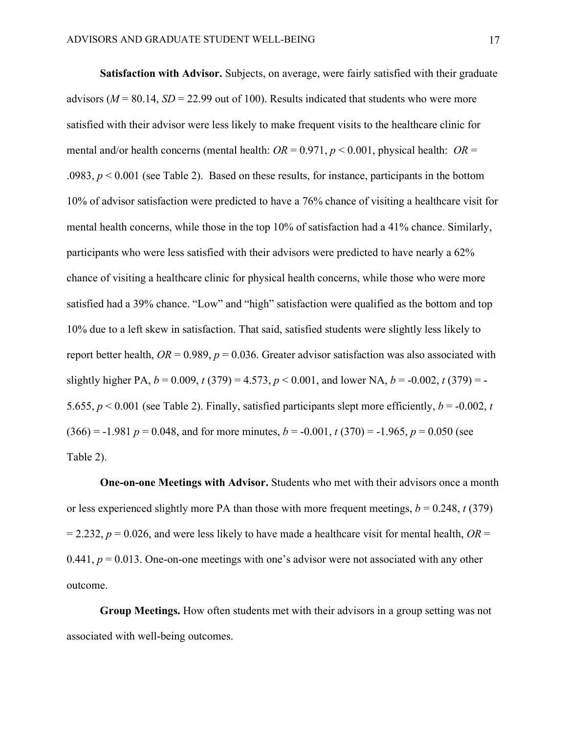**Satisfaction with Advisor.** Subjects, on average, were fairly satisfied with their graduate advisors ( $M = 80.14$ ,  $SD = 22.99$  out of 100). Results indicated that students who were more satisfied with their advisor were less likely to make frequent visits to the healthcare clinic for mental and/or health concerns (mental health:  $OR = 0.971$ ,  $p < 0.001$ , physical health:  $OR =$ .0983,  $p < 0.001$  (see Table 2). Based on these results, for instance, participants in the bottom 10% of advisor satisfaction were predicted to have a 76% chance of visiting a healthcare visit for mental health concerns, while those in the top 10% of satisfaction had a 41% chance. Similarly, participants who were less satisfied with their advisors were predicted to have nearly a 62% chance of visiting a healthcare clinic for physical health concerns, while those who were more satisfied had a 39% chance. "Low" and "high" satisfaction were qualified as the bottom and top 10% due to a left skew in satisfaction. That said, satisfied students were slightly less likely to report better health,  $OR = 0.989$ ,  $p = 0.036$ . Greater advisor satisfaction was also associated with slightly higher PA,  $b = 0.009$ ,  $t(379) = 4.573$ ,  $p < 0.001$ , and lower NA,  $b = -0.002$ ,  $t(379) = -0.002$ 5.655,  $p < 0.001$  (see Table 2). Finally, satisfied participants slept more efficiently,  $b = -0.002$ , *t*  $(366) = -1.981$  *p* = 0.048, and for more minutes, *b* = -0.001, *t* (370) = -1.965, *p* = 0.050 (see Table 2).

**One-on-one Meetings with Advisor.** Students who met with their advisors once a month or less experienced slightly more PA than those with more frequent meetings,  $b = 0.248$ ,  $t(379)$  $= 2.232$ ,  $p = 0.026$ , and were less likely to have made a healthcare visit for mental health,  $OR =$ 0.441,  $p = 0.013$ . One-on-one meetings with one's advisor were not associated with any other outcome.

**Group Meetings.** How often students met with their advisors in a group setting was not associated with well-being outcomes.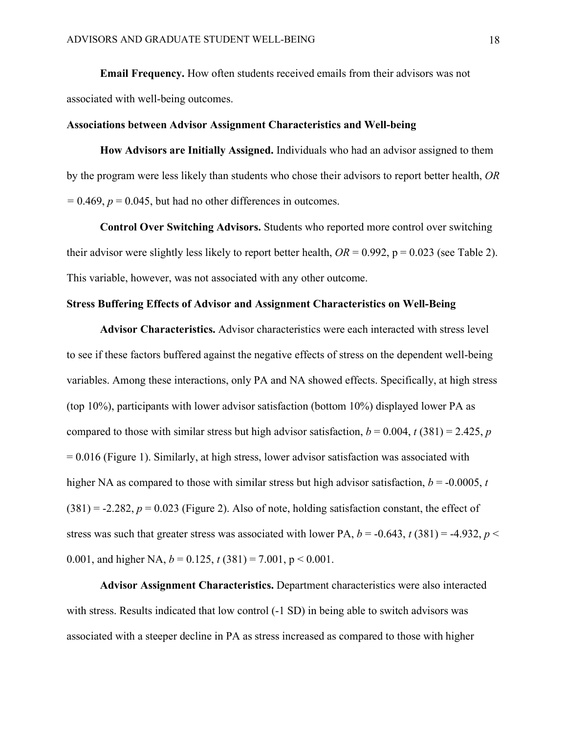**Email Frequency.** How often students received emails from their advisors was not associated with well-being outcomes.

# **Associations between Advisor Assignment Characteristics and Well-being**

**How Advisors are Initially Assigned.** Individuals who had an advisor assigned to them by the program were less likely than students who chose their advisors to report better health, *OR*   $= 0.469$ ,  $p = 0.045$ , but had no other differences in outcomes.

**Control Over Switching Advisors.** Students who reported more control over switching their advisor were slightly less likely to report better health,  $OR = 0.992$ ,  $p = 0.023$  (see Table 2). This variable, however, was not associated with any other outcome.

# **Stress Buffering Effects of Advisor and Assignment Characteristics on Well-Being**

 **Advisor Characteristics.** Advisor characteristics were each interacted with stress level to see if these factors buffered against the negative effects of stress on the dependent well-being variables. Among these interactions, only PA and NA showed effects. Specifically, at high stress (top 10%), participants with lower advisor satisfaction (bottom 10%) displayed lower PA as compared to those with similar stress but high advisor satisfaction,  $b = 0.004$ ,  $t(381) = 2.425$ , *p*  $= 0.016$  (Figure 1). Similarly, at high stress, lower advisor satisfaction was associated with higher NA as compared to those with similar stress but high advisor satisfaction,  $b = -0.0005$ , *t*  $(381) = -2.282$ ,  $p = 0.023$  (Figure 2). Also of note, holding satisfaction constant, the effect of stress was such that greater stress was associated with lower PA,  $b = -0.643$ ,  $t(381) = -4.932$ ,  $p <$ 0.001, and higher NA,  $b = 0.125$ ,  $t(381) = 7.001$ ,  $p < 0.001$ .

**Advisor Assignment Characteristics.** Department characteristics were also interacted with stress. Results indicated that low control  $(-1 SD)$  in being able to switch advisors was associated with a steeper decline in PA as stress increased as compared to those with higher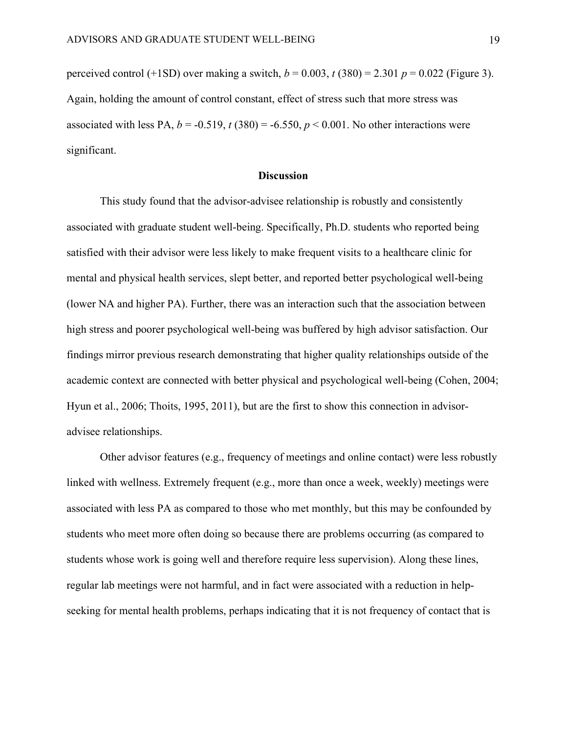perceived control (+1SD) over making a switch,  $b = 0.003$ ,  $t (380) = 2.301$   $p = 0.022$  (Figure 3). Again, holding the amount of control constant, effect of stress such that more stress was associated with less PA,  $b = -0.519$ ,  $t(380) = -6.550$ ,  $p < 0.001$ . No other interactions were significant.

# **Discussion**

This study found that the advisor-advisee relationship is robustly and consistently associated with graduate student well-being. Specifically, Ph.D. students who reported being satisfied with their advisor were less likely to make frequent visits to a healthcare clinic for mental and physical health services, slept better, and reported better psychological well-being (lower NA and higher PA). Further, there was an interaction such that the association between high stress and poorer psychological well-being was buffered by high advisor satisfaction. Our findings mirror previous research demonstrating that higher quality relationships outside of the academic context are connected with better physical and psychological well-being (Cohen, 2004; Hyun et al., 2006; Thoits, 1995, 2011), but are the first to show this connection in advisoradvisee relationships.

Other advisor features (e.g., frequency of meetings and online contact) were less robustly linked with wellness. Extremely frequent (e.g., more than once a week, weekly) meetings were associated with less PA as compared to those who met monthly, but this may be confounded by students who meet more often doing so because there are problems occurring (as compared to students whose work is going well and therefore require less supervision). Along these lines, regular lab meetings were not harmful, and in fact were associated with a reduction in helpseeking for mental health problems, perhaps indicating that it is not frequency of contact that is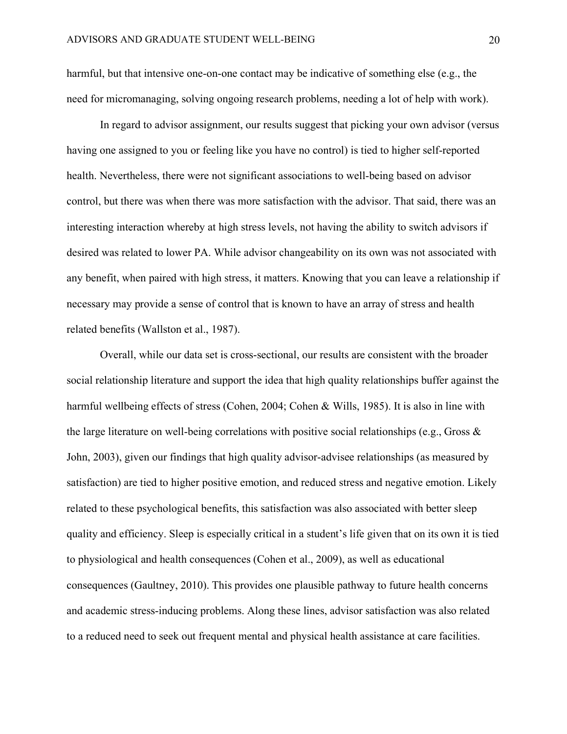harmful, but that intensive one-on-one contact may be indicative of something else (e.g., the need for micromanaging, solving ongoing research problems, needing a lot of help with work).

In regard to advisor assignment, our results suggest that picking your own advisor (versus having one assigned to you or feeling like you have no control) is tied to higher self-reported health. Nevertheless, there were not significant associations to well-being based on advisor control, but there was when there was more satisfaction with the advisor. That said, there was an interesting interaction whereby at high stress levels, not having the ability to switch advisors if desired was related to lower PA. While advisor changeability on its own was not associated with any benefit, when paired with high stress, it matters. Knowing that you can leave a relationship if necessary may provide a sense of control that is known to have an array of stress and health related benefits (Wallston et al., 1987).

Overall, while our data set is cross-sectional, our results are consistent with the broader social relationship literature and support the idea that high quality relationships buffer against the harmful wellbeing effects of stress (Cohen, 2004; Cohen & Wills, 1985). It is also in line with the large literature on well-being correlations with positive social relationships (e.g., Gross & John, 2003), given our findings that high quality advisor-advisee relationships (as measured by satisfaction) are tied to higher positive emotion, and reduced stress and negative emotion. Likely related to these psychological benefits, this satisfaction was also associated with better sleep quality and efficiency. Sleep is especially critical in a student's life given that on its own it is tied to physiological and health consequences (Cohen et al., 2009), as well as educational consequences (Gaultney, 2010). This provides one plausible pathway to future health concerns and academic stress-inducing problems. Along these lines, advisor satisfaction was also related to a reduced need to seek out frequent mental and physical health assistance at care facilities.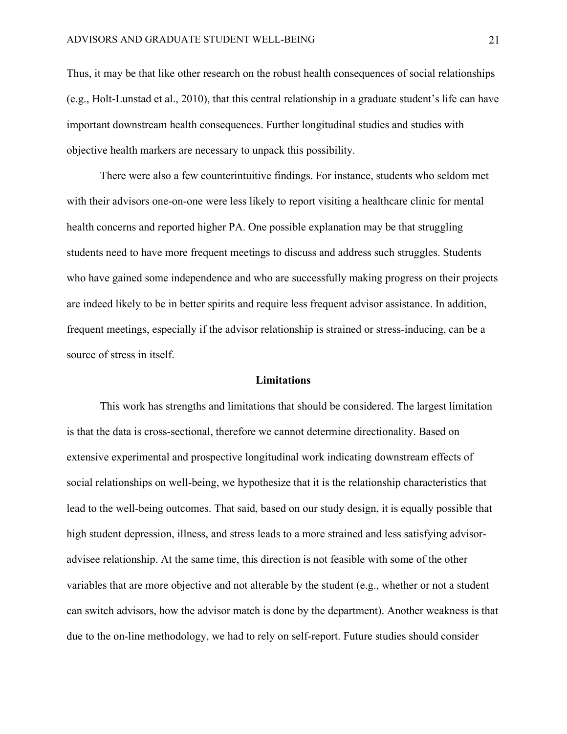Thus, it may be that like other research on the robust health consequences of social relationships (e.g., Holt-Lunstad et al., 2010), that this central relationship in a graduate student's life can have important downstream health consequences. Further longitudinal studies and studies with objective health markers are necessary to unpack this possibility.

There were also a few counterintuitive findings. For instance, students who seldom met with their advisors one-on-one were less likely to report visiting a healthcare clinic for mental health concerns and reported higher PA. One possible explanation may be that struggling students need to have more frequent meetings to discuss and address such struggles. Students who have gained some independence and who are successfully making progress on their projects are indeed likely to be in better spirits and require less frequent advisor assistance. In addition, frequent meetings, especially if the advisor relationship is strained or stress-inducing, can be a source of stress in itself.

#### **Limitations**

This work has strengths and limitations that should be considered. The largest limitation is that the data is cross-sectional, therefore we cannot determine directionality. Based on extensive experimental and prospective longitudinal work indicating downstream effects of social relationships on well-being, we hypothesize that it is the relationship characteristics that lead to the well-being outcomes. That said, based on our study design, it is equally possible that high student depression, illness, and stress leads to a more strained and less satisfying advisoradvisee relationship. At the same time, this direction is not feasible with some of the other variables that are more objective and not alterable by the student (e.g., whether or not a student can switch advisors, how the advisor match is done by the department). Another weakness is that due to the on-line methodology, we had to rely on self-report. Future studies should consider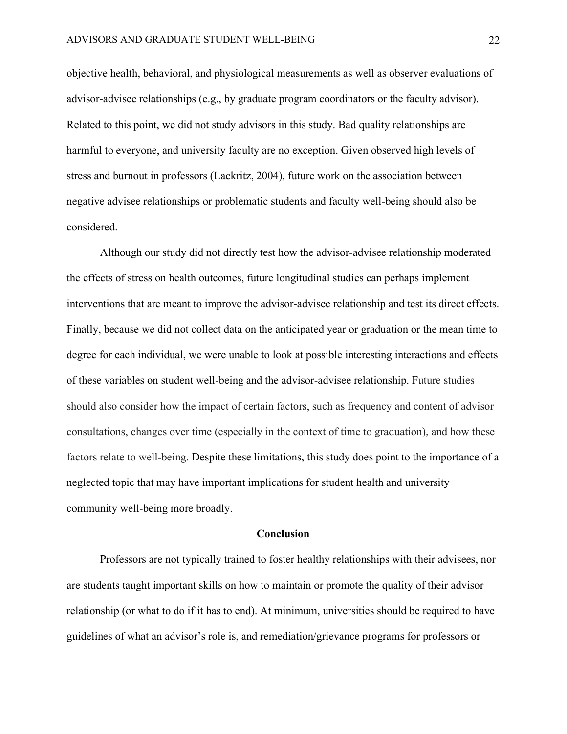objective health, behavioral, and physiological measurements as well as observer evaluations of advisor-advisee relationships (e.g., by graduate program coordinators or the faculty advisor). Related to this point, we did not study advisors in this study. Bad quality relationships are harmful to everyone, and university faculty are no exception. Given observed high levels of stress and burnout in professors (Lackritz, 2004), future work on the association between negative advisee relationships or problematic students and faculty well-being should also be considered.

Although our study did not directly test how the advisor-advisee relationship moderated the effects of stress on health outcomes, future longitudinal studies can perhaps implement interventions that are meant to improve the advisor-advisee relationship and test its direct effects. Finally, because we did not collect data on the anticipated year or graduation or the mean time to degree for each individual, we were unable to look at possible interesting interactions and effects of these variables on student well-being and the advisor-advisee relationship. Future studies should also consider how the impact of certain factors, such as frequency and content of advisor consultations, changes over time (especially in the context of time to graduation), and how these factors relate to well-being. Despite these limitations, this study does point to the importance of a neglected topic that may have important implications for student health and university community well-being more broadly.

#### **Conclusion**

Professors are not typically trained to foster healthy relationships with their advisees, nor are students taught important skills on how to maintain or promote the quality of their advisor relationship (or what to do if it has to end). At minimum, universities should be required to have guidelines of what an advisor's role is, and remediation/grievance programs for professors or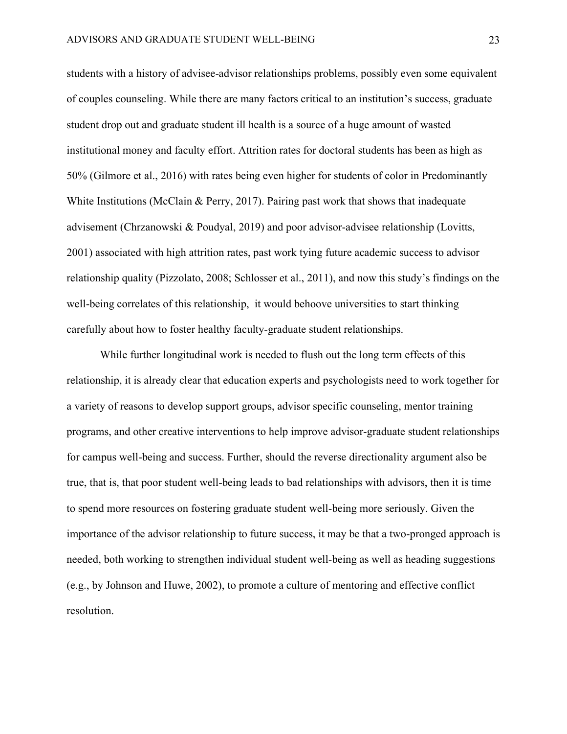students with a history of advisee-advisor relationships problems, possibly even some equivalent of couples counseling. While there are many factors critical to an institution's success, graduate student drop out and graduate student ill health is a source of a huge amount of wasted institutional money and faculty effort. Attrition rates for doctoral students has been as high as 50% (Gilmore et al., 2016) with rates being even higher for students of color in Predominantly White Institutions (McClain & Perry, 2017). Pairing past work that shows that inadequate advisement (Chrzanowski & Poudyal, 2019) and poor advisor-advisee relationship (Lovitts, 2001) associated with high attrition rates, past work tying future academic success to advisor relationship quality (Pizzolato, 2008; Schlosser et al., 2011), and now this study's findings on the well-being correlates of this relationship, it would behoove universities to start thinking carefully about how to foster healthy faculty-graduate student relationships.

While further longitudinal work is needed to flush out the long term effects of this relationship, it is already clear that education experts and psychologists need to work together for a variety of reasons to develop support groups, advisor specific counseling, mentor training programs, and other creative interventions to help improve advisor-graduate student relationships for campus well-being and success. Further, should the reverse directionality argument also be true, that is, that poor student well-being leads to bad relationships with advisors, then it is time to spend more resources on fostering graduate student well-being more seriously. Given the importance of the advisor relationship to future success, it may be that a two-pronged approach is needed, both working to strengthen individual student well-being as well as heading suggestions (e.g., by Johnson and Huwe, 2002), to promote a culture of mentoring and effective conflict resolution.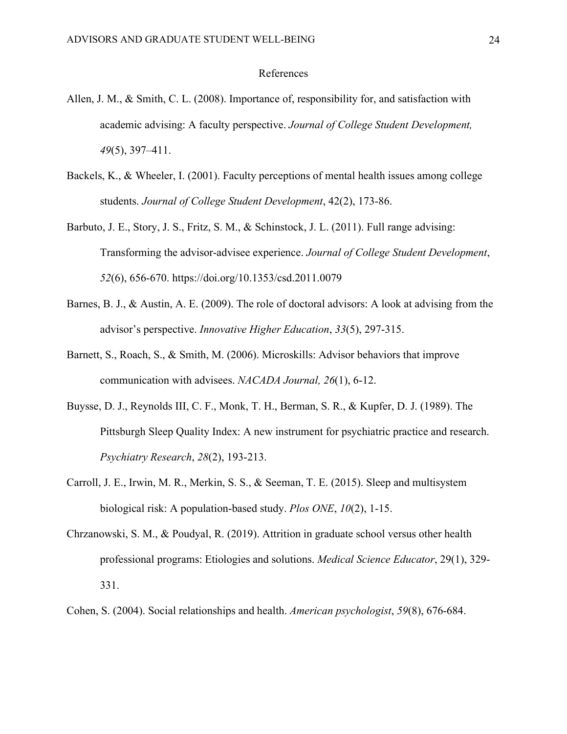# References

- Allen, J. M., & Smith, C. L. (2008). Importance of, responsibility for, and satisfaction with academic advising: A faculty perspective. *Journal of College Student Development, 49*(5), 397–411.
- Backels, K., & Wheeler, I. (2001). Faculty perceptions of mental health issues among college students. *Journal of College Student Development*, 42(2), 173-86.
- Barbuto, J. E., Story, J. S., Fritz, S. M., & Schinstock, J. L. (2011). Full range advising: Transforming the advisor-advisee experience. *Journal of College Student Development*, *52*(6), 656-670. https://doi.org/10.1353/csd.2011.0079
- Barnes, B. J., & Austin, A. E. (2009). The role of doctoral advisors: A look at advising from the advisor's perspective. *Innovative Higher Education*, *33*(5), 297-315.
- Barnett, S., Roach, S., & Smith, M. (2006). Microskills: Advisor behaviors that improve communication with advisees. *NACADA Journal, 26*(1), 6-12.
- Buysse, D. J., Reynolds III, C. F., Monk, T. H., Berman, S. R., & Kupfer, D. J. (1989). The Pittsburgh Sleep Quality Index: A new instrument for psychiatric practice and research. *Psychiatry Research*, *28*(2), 193-213.
- Carroll, J. E., Irwin, M. R., Merkin, S. S., & Seeman, T. E. (2015). Sleep and multisystem biological risk: A population-based study. *Plos ONE*, *10*(2), 1-15.
- Chrzanowski, S. M., & Poudyal, R. (2019). Attrition in graduate school versus other health professional programs: Etiologies and solutions. *Medical Science Educator*, 29(1), 329- 331.
- Cohen, S. (2004). Social relationships and health. *American psychologist*, *59*(8), 676-684.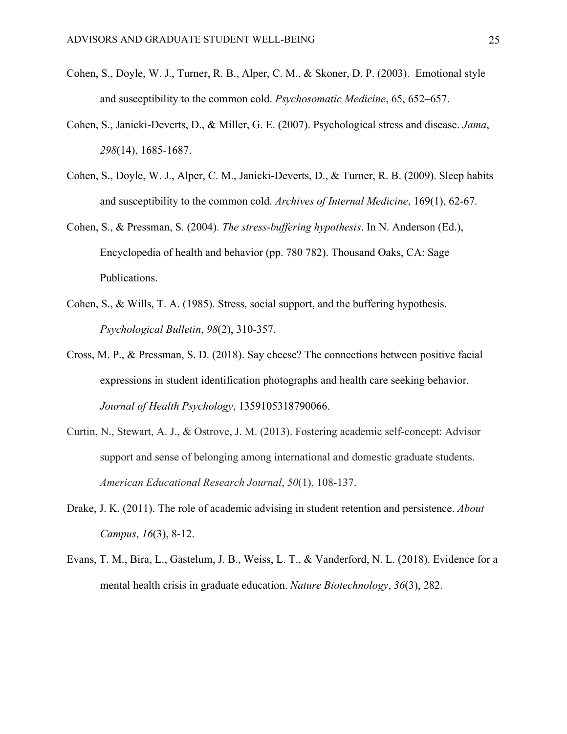- Cohen, S., Doyle, W. J., Turner, R. B., Alper, C. M., & Skoner, D. P. (2003). [Emotional style](http://www.ncbi.nlm.nih.gov/pubmed/?term=12883117)  [and susceptibility to the common cold.](http://www.ncbi.nlm.nih.gov/pubmed/?term=12883117) *Psychosomatic Medicine*, 65, 652–657.
- Cohen, S., Janicki-Deverts, D., & Miller, G. E. (2007). Psychological stress and disease. *Jama*, *298*(14), 1685-1687.
- Cohen, S., Doyle, W. J., Alper, C. M., Janicki-Deverts, D., & Turner, R. B. (2009). Sleep habits and susceptibility to the common cold. *Archives of Internal Medicine*, 169(1), 62-67.
- Cohen, S., & Pressman, S. (2004). *The stress-buffering hypothesis*. In N. Anderson (Ed.), Encyclopedia of health and behavior (pp. 780 782). Thousand Oaks, CA: Sage Publications.
- Cohen, S., & Wills, T. A. (1985). Stress, social support, and the buffering hypothesis. *Psychological Bulletin*, *98*(2), 310-357.
- Cross, M. P., & Pressman, S. D. (2018). Say cheese? The connections between positive facial expressions in student identification photographs and health care seeking behavior. *Journal of Health Psychology*, 1359105318790066.
- Curtin, N., Stewart, A. J., & Ostrove, J. M. (2013). Fostering academic self-concept: Advisor support and sense of belonging among international and domestic graduate students. *American Educational Research Journal*, *50*(1), 108-137.
- Drake, J. K. (2011). The role of academic advising in student retention and persistence. *About Campus*, *16*(3), 8-12.
- Evans, T. M., Bira, L., Gastelum, J. B., Weiss, L. T., & Vanderford, N. L. (2018). Evidence for a mental health crisis in graduate education. *Nature Biotechnology*, *36*(3), 282.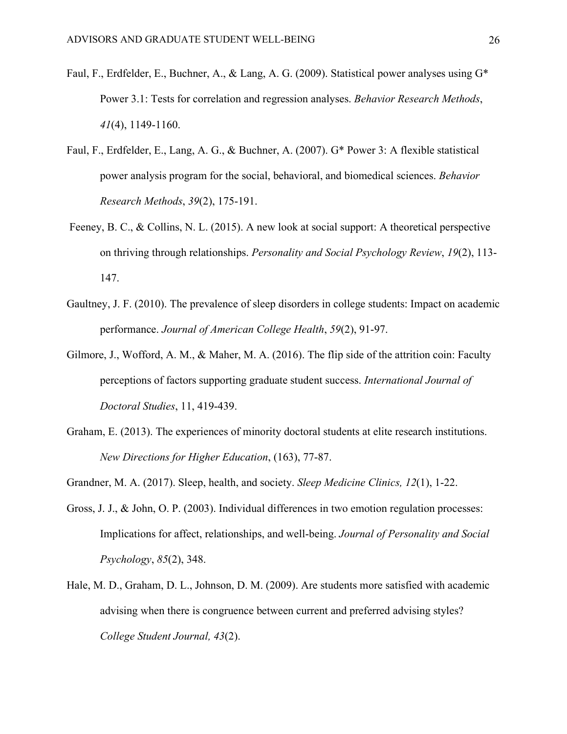- Faul, F., Erdfelder, E., Buchner, A., & Lang, A. G. (2009). Statistical power analyses using G\* Power 3.1: Tests for correlation and regression analyses. *Behavior Research Methods*, *41*(4), 1149-1160.
- Faul, F., Erdfelder, E., Lang, A. G., & Buchner, A. (2007). G\* Power 3: A flexible statistical power analysis program for the social, behavioral, and biomedical sciences. *Behavior Research Methods*, *39*(2), 175-191.
- Feeney, B. C., & Collins, N. L. (2015). A new look at social support: A theoretical perspective on thriving through relationships. *Personality and Social Psychology Review*, *19*(2), 113- 147.
- Gaultney, J. F. (2010). The prevalence of sleep disorders in college students: Impact on academic performance. *Journal of American College Health*, *59*(2), 91-97.
- Gilmore, J., Wofford, A. M., & Maher, M. A. (2016). The flip side of the attrition coin: Faculty perceptions of factors supporting graduate student success. *International Journal of Doctoral Studies*, 11, 419-439.
- Graham, E. (2013). The experiences of minority doctoral students at elite research institutions. *New Directions for Higher Education*, (163), 77-87.
- Grandner, M. A. (2017). Sleep, health, and society. *Sleep Medicine Clinics, 12*(1), 1-22.
- Gross, J. J., & John, O. P. (2003). Individual differences in two emotion regulation processes: Implications for affect, relationships, and well-being. *Journal of Personality and Social Psychology*, *85*(2), 348.
- Hale, M. D., Graham, D. L., Johnson, D. M. (2009). Are students more satisfied with academic advising when there is congruence between current and preferred advising styles? *College Student Journal, 43*(2).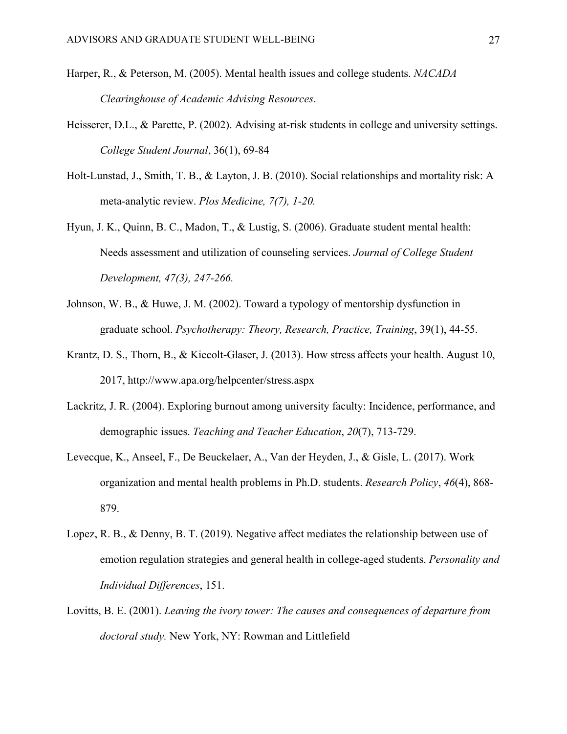- Harper, R., & Peterson, M. (2005). Mental health issues and college students. *NACADA Clearinghouse of Academic Advising Resources*.
- Heisserer, D.L., & Parette, P. (2002). Advising at-risk students in college and university settings. *College Student Journal*, 36(1), 69-84
- Holt-Lunstad, J., Smith, T. B., & Layton, J. B. (2010). Social relationships and mortality risk: A meta-analytic review. *Plos Medicine, 7(7), 1-20.*
- Hyun, J. K., Quinn, B. C., Madon, T., & Lustig, S. (2006). Graduate student mental health: Needs assessment and utilization of counseling services. *Journal of College Student Development, 47(3), 247-266.*
- Johnson, W. B., & Huwe, J. M. (2002). Toward a typology of mentorship dysfunction in graduate school. *Psychotherapy: Theory, Research, Practice, Training*, 39(1), 44-55.
- Krantz, D. S., Thorn, B., & Kiecolt-Glaser, J. (2013). How stress affects your health. August 10, 2017, http://www.apa.org/helpcenter/stress.aspx
- Lackritz, J. R. (2004). Exploring burnout among university faculty: Incidence, performance, and demographic issues. *Teaching and Teacher Education*, *20*(7), 713-729.
- Levecque, K., Anseel, F., De Beuckelaer, A., Van der Heyden, J., & Gisle, L. (2017). Work organization and mental health problems in Ph.D. students. *Research Policy*, *46*(4), 868- 879.
- Lopez, R. B., & Denny, B. T. (2019). Negative affect mediates the relationship between use of emotion regulation strategies and general health in college-aged students. *Personality and Individual Differences*, 151.
- Lovitts, B. E. (2001). *Leaving the ivory tower: The causes and consequences of departure from doctoral study.* New York, NY: Rowman and Littlefield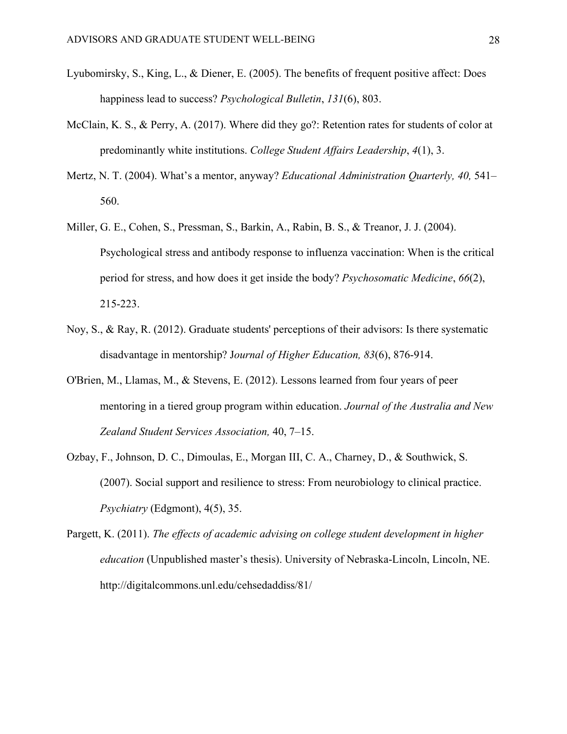- Lyubomirsky, S., King, L., & Diener, E. (2005). The benefits of frequent positive affect: Does happiness lead to success? *Psychological Bulletin*, *131*(6), 803.
- McClain, K. S., & Perry, A. (2017). Where did they go?: Retention rates for students of color at predominantly white institutions. *College Student Affairs Leadership*, *4*(1), 3.
- Mertz, N. T. (2004). What's a mentor, anyway? *Educational Administration Quarterly, 40,* 541– 560.
- Miller, G. E., Cohen, S., Pressman, S., Barkin, A., Rabin, B. S., & Treanor, J. J. (2004). Psychological stress and antibody response to influenza vaccination: When is the critical period for stress, and how does it get inside the body? *Psychosomatic Medicine*, *66*(2), 215-223.
- Noy, S., & Ray, R. (2012). Graduate students' perceptions of their advisors: Is there systematic disadvantage in mentorship? J*ournal of Higher Education, 83*(6), 876-914.
- O'Brien, M., Llamas, M., & Stevens, E. (2012). Lessons learned from four years of peer mentoring in a tiered group program within education. *Journal of the Australia and New Zealand Student Services Association,* 40, 7–15.
- Ozbay, F., Johnson, D. C., Dimoulas, E., Morgan III, C. A., Charney, D., & Southwick, S. (2007). Social support and resilience to stress: From neurobiology to clinical practice. *Psychiatry* (Edgmont), 4(5), 35.
- Pargett, K. (2011). *The effects of academic advising on college student development in higher education* (Unpublished master's thesis). University of Nebraska-Lincoln, Lincoln, NE. http://digitalcommons.unl.edu/cehsedaddiss/81/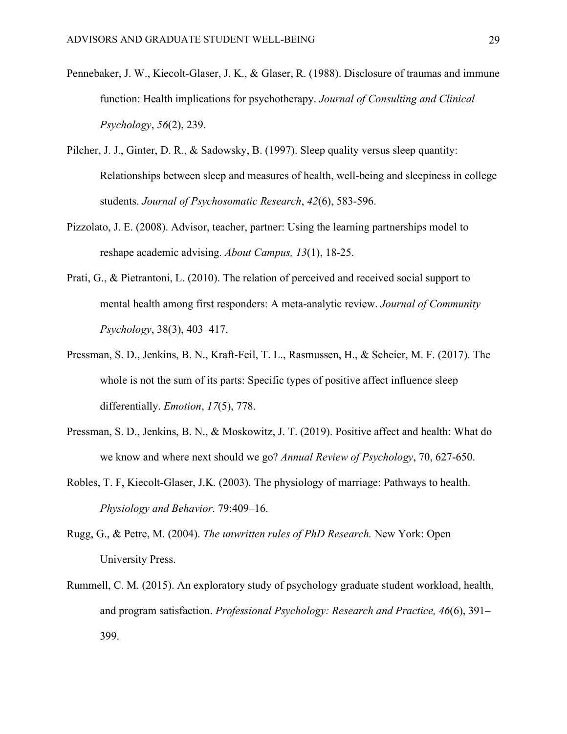- Pennebaker, J. W., Kiecolt-Glaser, J. K., & Glaser, R. (1988). Disclosure of traumas and immune function: Health implications for psychotherapy. *Journal of Consulting and Clinical Psychology*, *56*(2), 239.
- Pilcher, J. J., Ginter, D. R., & Sadowsky, B. (1997). Sleep quality versus sleep quantity: Relationships between sleep and measures of health, well-being and sleepiness in college students. *Journal of Psychosomatic Research*, *42*(6), 583-596.
- Pizzolato, J. E. (2008). Advisor, teacher, partner: Using the learning partnerships model to reshape academic advising. *About Campus, 13*(1), 18-25.
- Prati, G., & Pietrantoni, L. (2010). The relation of perceived and received social support to mental health among first responders: A meta-analytic review. *Journal of Community Psychology*, 38(3), 403–417.
- Pressman, S. D., Jenkins, B. N., Kraft-Feil, T. L., Rasmussen, H., & Scheier, M. F. (2017). The whole is not the sum of its parts: Specific types of positive affect influence sleep differentially. *Emotion*, *17*(5), 778.
- Pressman, S. D., Jenkins, B. N., & Moskowitz, J. T. (2019). Positive affect and health: What do we know and where next should we go? *Annual Review of Psychology*, 70, 627-650.
- Robles, T. F, Kiecolt-Glaser, J.K. (2003). The physiology of marriage: Pathways to health. *Physiology and Behavior*. 79:409–16.
- Rugg, G., & Petre, M. (2004). *The unwritten rules of PhD Research.* New York: Open University Press.
- Rummell, C. M. (2015). An exploratory study of psychology graduate student workload, health, and program satisfaction. *Professional Psychology: Research and Practice, 46*(6), 391– 399.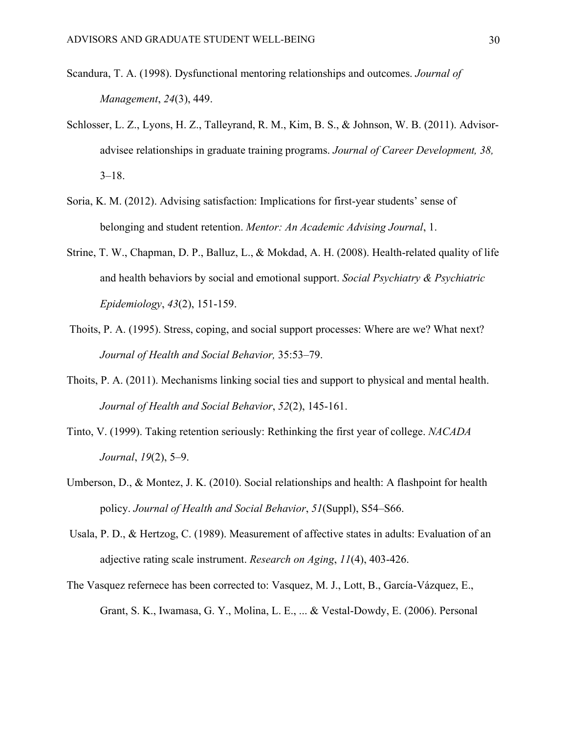- Scandura, T. A. (1998). Dysfunctional mentoring relationships and outcomes. *Journal of Management*, *24*(3), 449.
- Schlosser, L. Z., Lyons, H. Z., Talleyrand, R. M., Kim, B. S., & Johnson, W. B. (2011). Advisoradvisee relationships in graduate training programs. *Journal of Career Development, 38,*   $3-18.$
- Soria, K. M. (2012). Advising satisfaction: Implications for first-year students' sense of belonging and student retention. *Mentor: An Academic Advising Journal*, 1.
- Strine, T. W., Chapman, D. P., Balluz, L., & Mokdad, A. H. (2008). Health-related quality of life and health behaviors by social and emotional support. *Social Psychiatry & Psychiatric Epidemiology*, *43*(2), 151-159.
- Thoits, P. A. (1995). Stress, coping, and social support processes: Where are we? What next? *Journal of Health and Social Behavior,* 35:53–79.
- Thoits, P. A. (2011). Mechanisms linking social ties and support to physical and mental health. *Journal of Health and Social Behavior*, *52*(2), 145-161.
- Tinto, V. (1999). Taking retention seriously: Rethinking the first year of college. *NACADA Journal*, *19*(2), 5–9.
- Umberson, D., & Montez, J. K. (2010). Social relationships and health: A flashpoint for health policy. *Journal of Health and Social Behavior*, *51*(Suppl), S54–S66.
- Usala, P. D., & Hertzog, C. (1989). Measurement of affective states in adults: Evaluation of an adjective rating scale instrument. *Research on Aging*, *11*(4), 403-426.
- The Vasquez refernece has been corrected to: Vasquez, M. J., Lott, B., García-Vázquez, E., Grant, S. K., Iwamasa, G. Y., Molina, L. E., ... & Vestal-Dowdy, E. (2006). Personal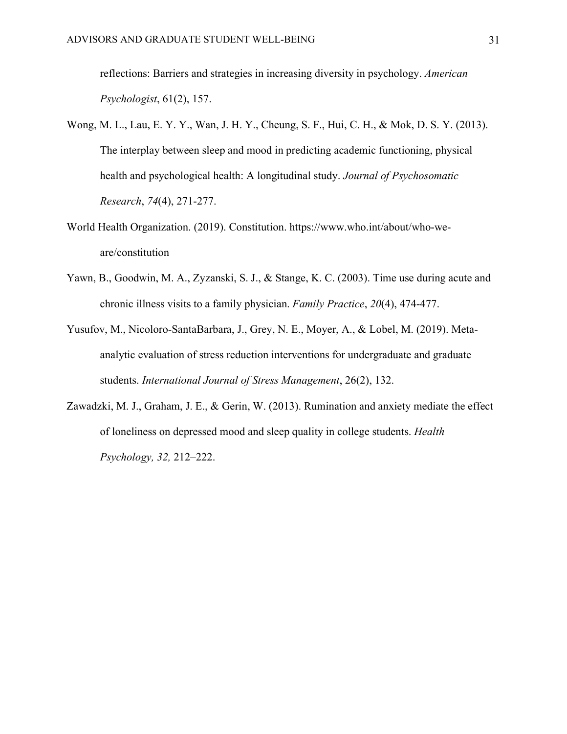reflections: Barriers and strategies in increasing diversity in psychology. *American Psychologist*, 61(2), 157.

- Wong, M. L., Lau, E. Y. Y., Wan, J. H. Y., Cheung, S. F., Hui, C. H., & Mok, D. S. Y. (2013). The interplay between sleep and mood in predicting academic functioning, physical health and psychological health: A longitudinal study. *Journal of Psychosomatic Research*, *74*(4), 271-277.
- World Health Organization. (2019). Constitution. https://www.who.int/about/who-weare/constitution
- Yawn, B., Goodwin, M. A., Zyzanski, S. J., & Stange, K. C. (2003). Time use during acute and chronic illness visits to a family physician. *Family Practice*, *20*(4), 474-477.
- Yusufov, M., Nicoloro-SantaBarbara, J., Grey, N. E., Moyer, A., & Lobel, M. (2019). Metaanalytic evaluation of stress reduction interventions for undergraduate and graduate students. *International Journal of Stress Management*, 26(2), 132.
- Zawadzki, M. J., Graham, J. E., & Gerin, W. (2013). Rumination and anxiety mediate the effect of loneliness on depressed mood and sleep quality in college students. *Health Psychology, 32,* 212–222.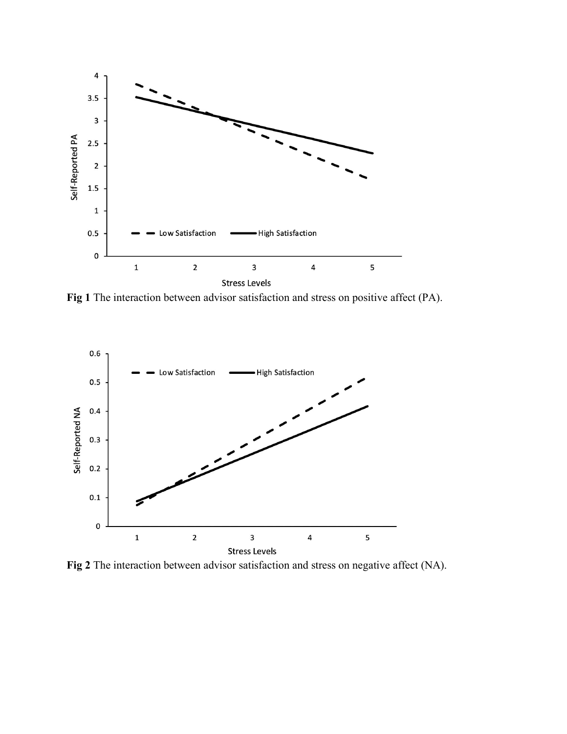

**Fig 1** The interaction between advisor satisfaction and stress on positive affect (PA).



**Fig 2** The interaction between advisor satisfaction and stress on negative affect (NA).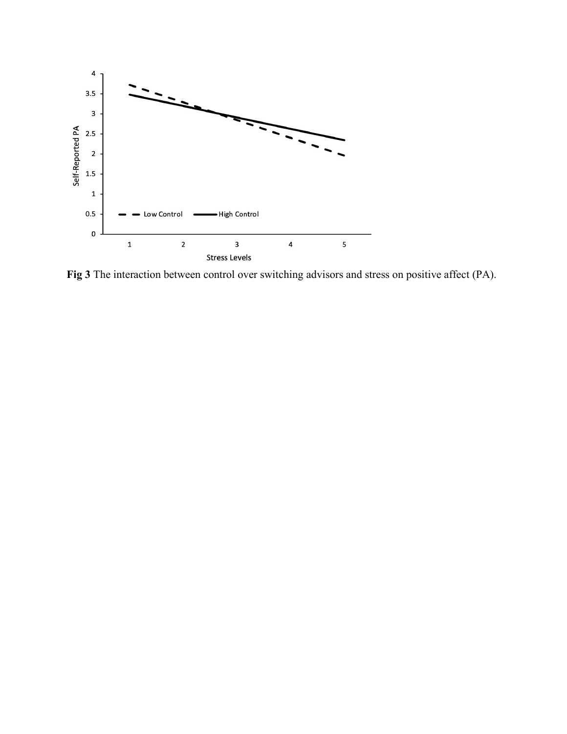

**Fig 3** The interaction between control over switching advisors and stress on positive affect (PA).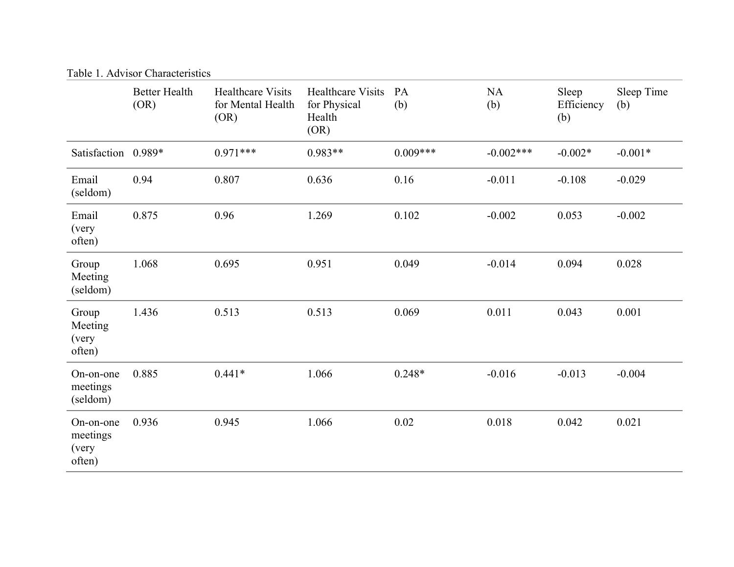| Table 1. Advisor Characteristics         |                              |                                                       |                                                            |            |                  |                            |                   |
|------------------------------------------|------------------------------|-------------------------------------------------------|------------------------------------------------------------|------------|------------------|----------------------------|-------------------|
|                                          | <b>Better Health</b><br>(OR) | <b>Healthcare Visits</b><br>for Mental Health<br>(OR) | <b>Healthcare Visits</b><br>for Physical<br>Health<br>(OR) | PA<br>(b)  | <b>NA</b><br>(b) | Sleep<br>Efficiency<br>(b) | Sleep Time<br>(b) |
| Satisfaction 0.989*                      |                              | $0.971***$                                            | $0.983**$                                                  | $0.009***$ | $-0.002***$      | $-0.002*$                  | $-0.001*$         |
| Email<br>(seldom)                        | 0.94                         | 0.807                                                 | 0.636                                                      | 0.16       | $-0.011$         | $-0.108$                   | $-0.029$          |
| Email<br>(very<br>often)                 | 0.875                        | 0.96                                                  | 1.269                                                      | 0.102      | $-0.002$         | 0.053                      | $-0.002$          |
| Group<br>Meeting<br>(seldom)             | 1.068                        | 0.695                                                 | 0.951                                                      | 0.049      | $-0.014$         | 0.094                      | 0.028             |
| Group<br>Meeting<br>(very<br>often)      | 1.436                        | 0.513                                                 | 0.513                                                      | 0.069      | 0.011            | 0.043                      | 0.001             |
| On-on-one<br>meetings<br>(seldom)        | 0.885                        | $0.441*$                                              | 1.066                                                      | $0.248*$   | $-0.016$         | $-0.013$                   | $-0.004$          |
| On-on-one<br>meetings<br>(very<br>often) | 0.936                        | 0.945                                                 | 1.066                                                      | 0.02       | 0.018            | 0.042                      | 0.021             |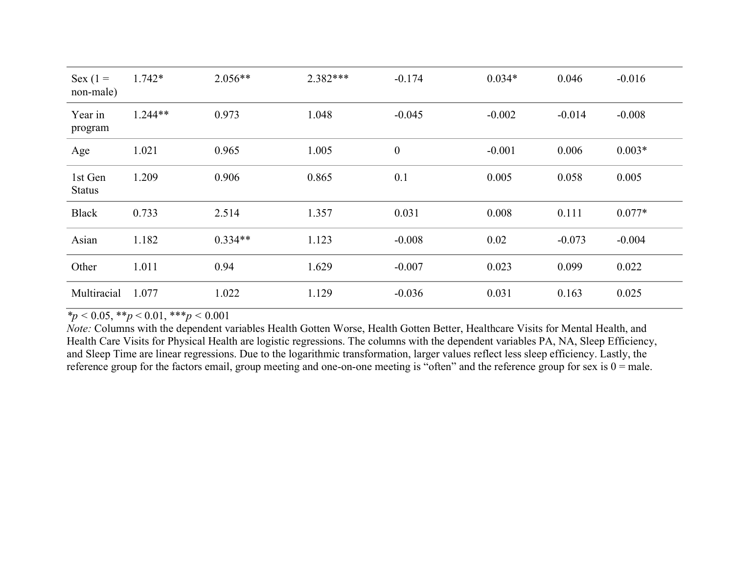| Sex $(1 =$<br>non-male)  | $1.742*$  | $2.056**$ | $2.382***$ | $-0.174$         | $0.034*$ | 0.046    | $-0.016$ |
|--------------------------|-----------|-----------|------------|------------------|----------|----------|----------|
| Year in<br>program       | $1.244**$ | 0.973     | 1.048      | $-0.045$         | $-0.002$ | $-0.014$ | $-0.008$ |
| Age                      | 1.021     | 0.965     | 1.005      | $\boldsymbol{0}$ | $-0.001$ | 0.006    | $0.003*$ |
| 1st Gen<br><b>Status</b> | 1.209     | 0.906     | 0.865      | 0.1              | 0.005    | 0.058    | 0.005    |
| <b>Black</b>             | 0.733     | 2.514     | 1.357      | 0.031            | 0.008    | 0.111    | $0.077*$ |
| Asian                    | 1.182     | $0.334**$ | 1.123      | $-0.008$         | 0.02     | $-0.073$ | $-0.004$ |
| Other                    | 1.011     | 0.94      | 1.629      | $-0.007$         | 0.023    | 0.099    | 0.022    |
| Multiracial              | 1.077     | 1.022     | 1.129      | $-0.036$         | 0.031    | 0.163    | 0.025    |

 $\frac{1}{2} p \leq 0.05, \frac{1}{2} p \leq 0.01, \frac{1}{2} p \leq 0.001$ 

*Note:* Columns with the dependent variables Health Gotten Worse, Health Gotten Better, Healthcare Visits for Mental Health, and Health Care Visits for Physical Health are logistic regressions. The columns with the dependent variables PA, NA, Sleep Efficiency, and Sleep Time are linear regressions. Due to the logarithmic transformation, larger values reflect less sleep efficiency. Lastly, the reference group for the factors email, group meeting and one-on-one meeting is "often" and the reference group for sex is  $0 =$  male.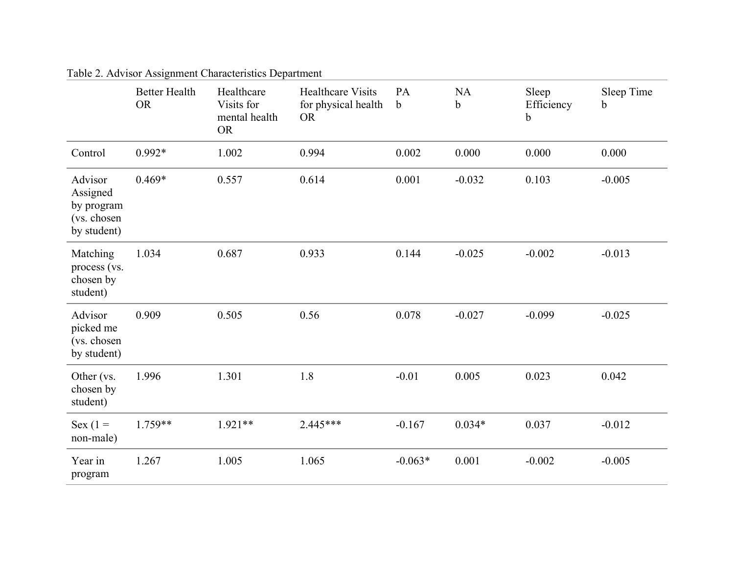|                                                                 | <b>Better Health</b><br><b>OR</b> | Healthcare<br>Visits for<br>mental health<br><b>OR</b> | <b>Healthcare Visits</b><br>for physical health<br><b>OR</b> | PA<br>$\mathbf b$ | <b>NA</b><br>$\mathbf b$ | Sleep<br>Efficiency<br>$\mathbf b$ | Sleep Time<br>b |
|-----------------------------------------------------------------|-----------------------------------|--------------------------------------------------------|--------------------------------------------------------------|-------------------|--------------------------|------------------------------------|-----------------|
| Control                                                         | $0.992*$                          | 1.002                                                  | 0.994                                                        | 0.002             | 0.000                    | 0.000                              | 0.000           |
| Advisor<br>Assigned<br>by program<br>(vs. chosen<br>by student) | $0.469*$                          | 0.557                                                  | 0.614                                                        | 0.001             | $-0.032$                 | 0.103                              | $-0.005$        |
| Matching<br>process (vs.<br>chosen by<br>student)               | 1.034                             | 0.687                                                  | 0.933                                                        | 0.144             | $-0.025$                 | $-0.002$                           | $-0.013$        |
| Advisor<br>picked me<br>(vs. chosen<br>by student)              | 0.909                             | 0.505                                                  | 0.56                                                         | 0.078             | $-0.027$                 | $-0.099$                           | $-0.025$        |
| Other (vs.<br>chosen by<br>student)                             | 1.996                             | 1.301                                                  | 1.8                                                          | $-0.01$           | 0.005                    | 0.023                              | 0.042           |
| Sex $(1 =$<br>non-male)                                         | $1.759**$                         | $1.921**$                                              | $2.445***$                                                   | $-0.167$          | $0.034*$                 | 0.037                              | $-0.012$        |
| Year in<br>program                                              | 1.267                             | 1.005                                                  | 1.065                                                        | $-0.063*$         | 0.001                    | $-0.002$                           | $-0.005$        |

Table 2. Advisor Assignment Characteristics Department